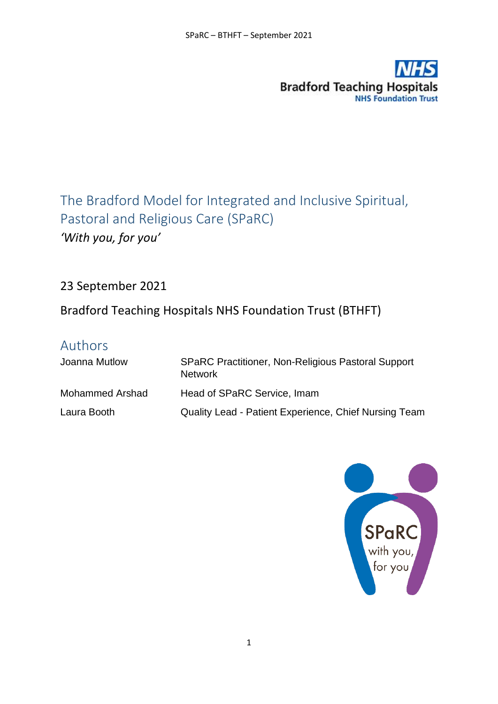

The Bradford Model for Integrated and Inclusive Spiritual, Pastoral and Religious Care (SPaRC) *'With you, for you'*

23 September 2021

Bradford Teaching Hospitals NHS Foundation Trust (BTHFT)

# Authors

| Joanna Mutlow   | <b>SPaRC Practitioner, Non-Religious Pastoral Support</b><br><b>Network</b> |
|-----------------|-----------------------------------------------------------------------------|
| Mohammed Arshad | Head of SPaRC Service, Imam                                                 |
| Laura Booth     | Quality Lead - Patient Experience, Chief Nursing Team                       |

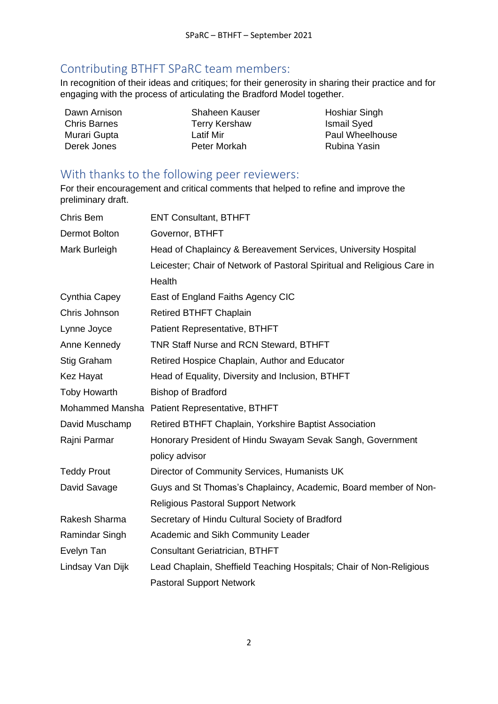## Contributing BTHFT SPaRC team members:

In recognition of their ideas and critiques; for their generosity in sharing their practice and for engaging with the process of articulating the Bradford Model together.

| Dawn Arnison        | <b>Shaheen Kauser</b> |                        |
|---------------------|-----------------------|------------------------|
|                     |                       | Hoshiar Singh          |
| <b>Chris Barnes</b> | <b>Terry Kershaw</b>  | <b>Ismail Syed</b>     |
| Murari Gupta        | Latif Mir             | <b>Paul Wheelhouse</b> |
| Derek Jones         | Peter Morkah          | Rubina Yasin           |

## With thanks to the following peer reviewers:

For their encouragement and critical comments that helped to refine and improve the preliminary draft.

| Chris Bem            | <b>ENT Consultant, BTHFT</b>                                            |
|----------------------|-------------------------------------------------------------------------|
| <b>Dermot Bolton</b> | Governor, BTHFT                                                         |
| Mark Burleigh        | Head of Chaplaincy & Bereavement Services, University Hospital          |
|                      | Leicester; Chair of Network of Pastoral Spiritual and Religious Care in |
|                      | Health                                                                  |
| Cynthia Capey        | East of England Faiths Agency CIC                                       |
| Chris Johnson        | <b>Retired BTHFT Chaplain</b>                                           |
| Lynne Joyce          | Patient Representative, BTHFT                                           |
| Anne Kennedy         | <b>TNR Staff Nurse and RCN Steward, BTHFT</b>                           |
| Stig Graham          | Retired Hospice Chaplain, Author and Educator                           |
| <b>Kez Hayat</b>     | Head of Equality, Diversity and Inclusion, BTHFT                        |
| <b>Toby Howarth</b>  | <b>Bishop of Bradford</b>                                               |
|                      | Mohammed Mansha Patient Representative, BTHFT                           |
| David Muschamp       | Retired BTHFT Chaplain, Yorkshire Baptist Association                   |
| Rajni Parmar         | Honorary President of Hindu Swayam Sevak Sangh, Government              |
|                      | policy advisor                                                          |
| <b>Teddy Prout</b>   | Director of Community Services, Humanists UK                            |
| David Savage         | Guys and St Thomas's Chaplaincy, Academic, Board member of Non-         |
|                      | <b>Religious Pastoral Support Network</b>                               |
| Rakesh Sharma        | Secretary of Hindu Cultural Society of Bradford                         |
| Ramindar Singh       | Academic and Sikh Community Leader                                      |
| Evelyn Tan           | <b>Consultant Geriatrician, BTHFT</b>                                   |
| Lindsay Van Dijk     | Lead Chaplain, Sheffield Teaching Hospitals; Chair of Non-Religious     |
|                      | <b>Pastoral Support Network</b>                                         |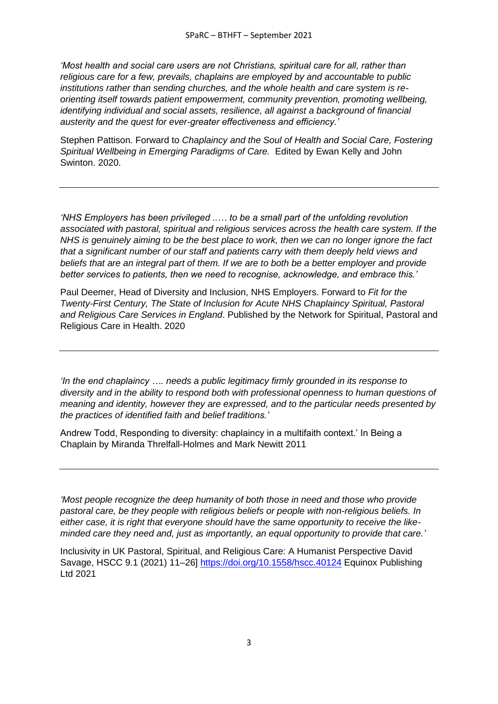*'Most health and social care users are not Christians, spiritual care for all, rather than religious care for a few, prevails, chaplains are employed by and accountable to public institutions rather than sending churches, and the whole health and care system is reorienting itself towards patient empowerment, community prevention, promoting wellbeing, identifying individual and social assets, resilience, all against a background of financial austerity and the quest for ever-greater effectiveness and efficiency.'*

Stephen Pattison. Forward to *Chaplaincy and the Soul of Health and Social Care, Fostering Spiritual Wellbeing in Emerging Paradigms of Care.* Edited by Ewan Kelly and John Swinton. 2020.

*'NHS Employers has been privileged ..… to be a small part of the unfolding revolution associated with pastoral, spiritual and religious services across the health care system. If the NHS is genuinely aiming to be the best place to work, then we can no longer ignore the fact that a significant number of our staff and patients carry with them deeply held views and beliefs that are an integral part of them. If we are to both be a better employer and provide better services to patients, then we need to recognise, acknowledge, and embrace this.'*

Paul Deemer, Head of Diversity and Inclusion, NHS Employers. Forward to *Fit for the Twenty-First Century, The State of Inclusion for Acute NHS Chaplaincy Spiritual, Pastoral and Religious Care Services in England*. Published by the Network for Spiritual, Pastoral and Religious Care in Health. 2020

*'In the end chaplaincy …. needs a public legitimacy firmly grounded in its response to diversity and in the ability to respond both with professional openness to human questions of meaning and identity, however they are expressed, and to the particular needs presented by the practices of identified faith and belief traditions.'*

Andrew Todd, Responding to diversity: chaplaincy in a multifaith context.' In Being a Chaplain by Miranda Threlfall-Holmes and Mark Newitt 2011

*'Most people recognize the deep humanity of both those in need and those who provide pastoral care, be they people with religious beliefs or people with non-religious beliefs. In either case, it is right that everyone should have the same opportunity to receive the likeminded care they need and, just as importantly, an equal opportunity to provide that care.'*

Inclusivity in UK Pastoral, Spiritual, and Religious Care: A Humanist Perspective David Savage, HSCC 9.1 (2021) 11–26]<https://doi.org/10.1558/hscc.40124> Equinox Publishing Ltd 2021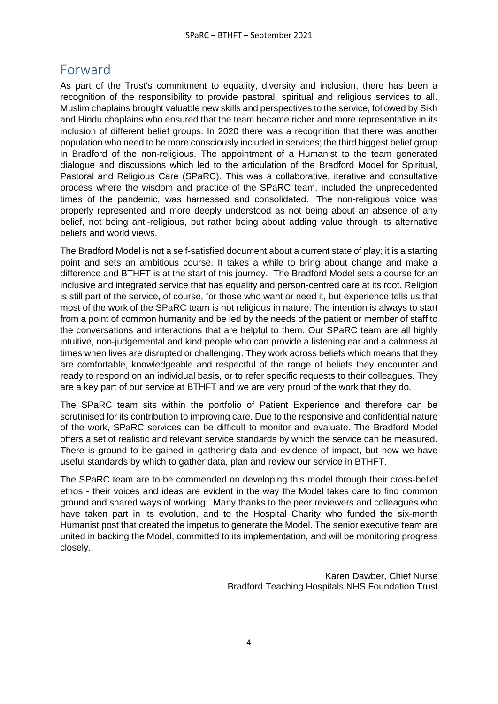## <span id="page-3-0"></span>Forward

As part of the Trust's commitment to equality, diversity and inclusion, there has been a recognition of the responsibility to provide pastoral, spiritual and religious services to all. Muslim chaplains brought valuable new skills and perspectives to the service, followed by Sikh and Hindu chaplains who ensured that the team became richer and more representative in its inclusion of different belief groups. In 2020 there was a recognition that there was another population who need to be more consciously included in services; the third biggest belief group in Bradford of the non-religious. The appointment of a Humanist to the team generated dialogue and discussions which led to the articulation of the Bradford Model for Spiritual, Pastoral and Religious Care (SPaRC). This was a collaborative, iterative and consultative process where the wisdom and practice of the SPaRC team, included the unprecedented times of the pandemic, was harnessed and consolidated. The non-religious voice was properly represented and more deeply understood as not being about an absence of any belief, not being anti-religious, but rather being about adding value through its alternative beliefs and world views.

The Bradford Model is not a self-satisfied document about a current state of play; it is a starting point and sets an ambitious course. It takes a while to bring about change and make a difference and BTHFT is at the start of this journey. The Bradford Model sets a course for an inclusive and integrated service that has equality and person-centred care at its root. Religion is still part of the service, of course, for those who want or need it, but experience tells us that most of the work of the SPaRC team is not religious in nature. The intention is always to start from a point of common humanity and be led by the needs of the patient or member of staff to the conversations and interactions that are helpful to them. Our SPaRC team are all highly intuitive, non-judgemental and kind people who can provide a listening ear and a calmness at times when lives are disrupted or challenging. They work across beliefs which means that they are comfortable, knowledgeable and respectful of the range of beliefs they encounter and ready to respond on an individual basis, or to refer specific requests to their colleagues. They are a key part of our service at BTHFT and we are very proud of the work that they do.

The SPaRC team sits within the portfolio of Patient Experience and therefore can be scrutinised for its contribution to improving care. Due to the responsive and confidential nature of the work, SPaRC services can be difficult to monitor and evaluate. The Bradford Model offers a set of realistic and relevant service standards by which the service can be measured. There is ground to be gained in gathering data and evidence of impact, but now we have useful standards by which to gather data, plan and review our service in BTHFT.

The SPaRC team are to be commended on developing this model through their cross-belief ethos - their voices and ideas are evident in the way the Model takes care to find common ground and shared ways of working. Many thanks to the peer reviewers and colleagues who have taken part in its evolution, and to the Hospital Charity who funded the six-month Humanist post that created the impetus to generate the Model. The senior executive team are united in backing the Model, committed to its implementation, and will be monitoring progress closely.

> Karen Dawber, Chief Nurse Bradford Teaching Hospitals NHS Foundation Trust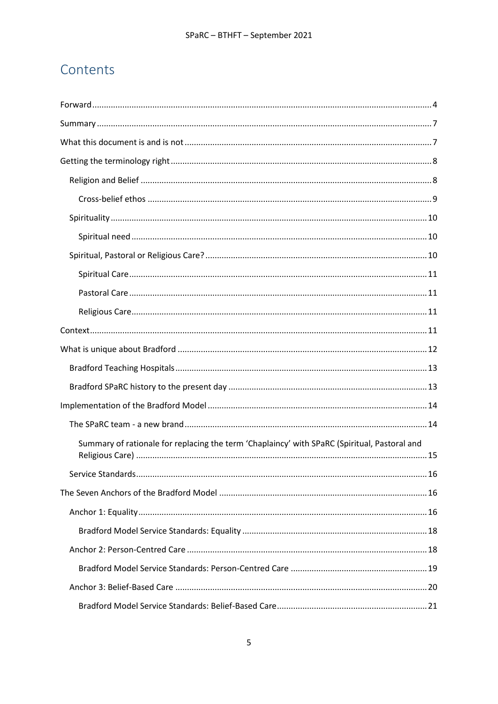# Contents

| Summary of rationale for replacing the term 'Chaplaincy' with SPaRC (Spiritual, Pastoral and |  |
|----------------------------------------------------------------------------------------------|--|
|                                                                                              |  |
|                                                                                              |  |
|                                                                                              |  |
|                                                                                              |  |
|                                                                                              |  |
|                                                                                              |  |
|                                                                                              |  |
|                                                                                              |  |
|                                                                                              |  |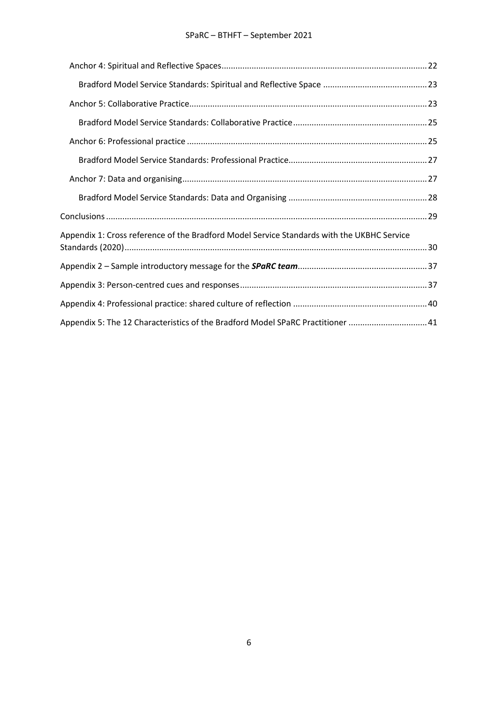### SPaRC – BTHFT – September 2021

| Appendix 1: Cross reference of the Bradford Model Service Standards with the UKBHC Service |  |
|--------------------------------------------------------------------------------------------|--|
|                                                                                            |  |
|                                                                                            |  |
|                                                                                            |  |
| Appendix 5: The 12 Characteristics of the Bradford Model SPaRC Practitioner 41             |  |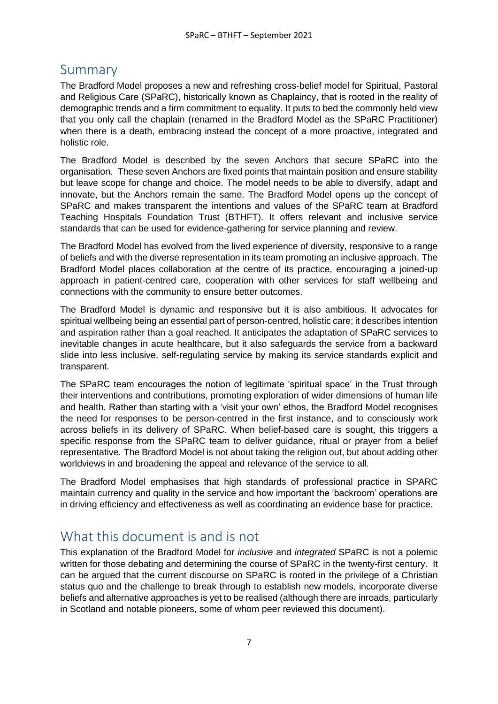## <span id="page-6-0"></span>Summary

The Bradford Model proposes a new and refreshing cross-belief model for Spiritual, Pastoral and Religious Care (SPaRC), historically known as Chaplaincy, that is rooted in the reality of demographic trends and a firm commitment to equality. It puts to bed the commonly held view that you only call the chaplain (renamed in the Bradford Model as the SPaRC Practitioner) when there is a death, embracing instead the concept of a more proactive, integrated and holistic role.

The Bradford Model is described by the seven Anchors that secure SPaRC into the organisation. These seven Anchors are fixed points that maintain position and ensure stability but leave scope for change and choice. The model needs to be able to diversify, adapt and innovate, but the Anchors remain the same. The Bradford Model opens up the concept of SPaRC and makes transparent the intentions and values of the SPaRC team at Bradford Teaching Hospitals Foundation Trust (BTHFT). It offers relevant and inclusive service standards that can be used for evidence-gathering for service planning and review.

The Bradford Model has evolved from the lived experience of diversity, responsive to a range of beliefs and with the diverse representation in its team promoting an inclusive approach. The Bradford Model places collaboration at the centre of its practice, encouraging a joined-up approach in patient-centred care, cooperation with other services for staff wellbeing and connections with the community to ensure better outcomes.

The Bradford Model is dynamic and responsive but it is also ambitious. It advocates for spiritual wellbeing being an essential part of person-centred, holistic care; it describes intention and aspiration rather than a goal reached. It anticipates the adaptation of SPaRC services to inevitable changes in acute healthcare, but it also safeguards the service from a backward slide into less inclusive, self-regulating service by making its service standards explicit and transparent.

The SPaRC team encourages the notion of legitimate 'spiritual space' in the Trust through their interventions and contributions, promoting exploration of wider dimensions of human life and health. Rather than starting with a 'visit your own' ethos, the Bradford Model recognises the need for responses to be person-centred in the first instance, and to consciously work across beliefs in its delivery of SPaRC. When belief-based care is sought, this triggers a specific response from the SPaRC team to deliver guidance, ritual or prayer from a belief representative. The Bradford Model is not about taking the religion out, but about adding other worldviews in and broadening the appeal and relevance of the service to all.

The Bradford Model emphasises that high standards of professional practice in SPARC maintain currency and quality in the service and how important the 'backroom' operations are in driving efficiency and effectiveness as well as coordinating an evidence base for practice.

# <span id="page-6-1"></span>What this document is and is not

This explanation of the Bradford Model for *inclusive* and *integrated* SPaRC is not a polemic written for those debating and determining the course of SPaRC in the twenty-first century. It can be argued that the current discourse on SPaRC is rooted in the privilege of a Christian status quo and the challenge to break through to establish new models, incorporate diverse beliefs and alternative approaches is yet to be realised (although there are inroads, particularly in Scotland and notable pioneers, some of whom peer reviewed this document).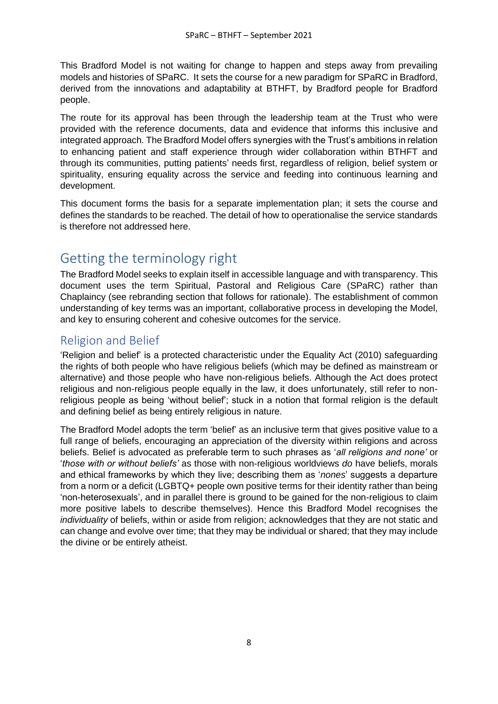This Bradford Model is not waiting for change to happen and steps away from prevailing models and histories of SPaRC. It sets the course for a new paradigm for SPaRC in Bradford, derived from the innovations and adaptability at BTHFT, by Bradford people for Bradford people.

The route for its approval has been through the leadership team at the Trust who were provided with the reference documents, data and evidence that informs this inclusive and integrated approach. The Bradford Model offers synergies with the Trust's ambitions in relation to enhancing patient and staff experience through wider collaboration within BTHFT and through its communities, putting patients' needs first, regardless of religion, belief system or spirituality, ensuring equality across the service and feeding into continuous learning and development.

This document forms the basis for a separate implementation plan; it sets the course and defines the standards to be reached. The detail of how to operationalise the service standards is therefore not addressed here.

## <span id="page-7-0"></span>Getting the terminology right

The Bradford Model seeks to explain itself in accessible language and with transparency. This document uses the term Spiritual, Pastoral and Religious Care (SPaRC) rather than Chaplaincy (see rebranding section that follows for rationale). The establishment of common understanding of key terms was an important, collaborative process in developing the Model, and key to ensuring coherent and cohesive outcomes for the service.

## <span id="page-7-1"></span>Religion and Belief

'Religion and belief' is a protected characteristic under the Equality Act (2010) safeguarding the rights of both people who have religious beliefs (which may be defined as mainstream or alternative) and those people who have non-religious beliefs. Although the Act does protect religious and non-religious people equally in the law, it does unfortunately, still refer to nonreligious people as being 'without belief'; stuck in a notion that formal religion is the default and defining belief as being entirely religious in nature.

The Bradford Model adopts the term 'belief' as an inclusive term that gives positive value to a full range of beliefs, encouraging an appreciation of the diversity within religions and across beliefs. Belief is advocated as preferable term to such phrases as '*all religions and none'* or '*those with or without beliefs'* as those with non-religious worldviews *do* have beliefs, morals and ethical frameworks by which they live; describing them as '*nones*' suggests a departure from a norm or a deficit (LGBTQ+ people own positive terms for their identity rather than being 'non-heterosexuals', and in parallel there is ground to be gained for the non-religious to claim more positive labels to describe themselves). Hence this Bradford Model recognises the *individuality* of beliefs, within or aside from religion; acknowledges that they are not static and can change and evolve over time; that they may be individual or shared; that they may include the divine or be entirely atheist.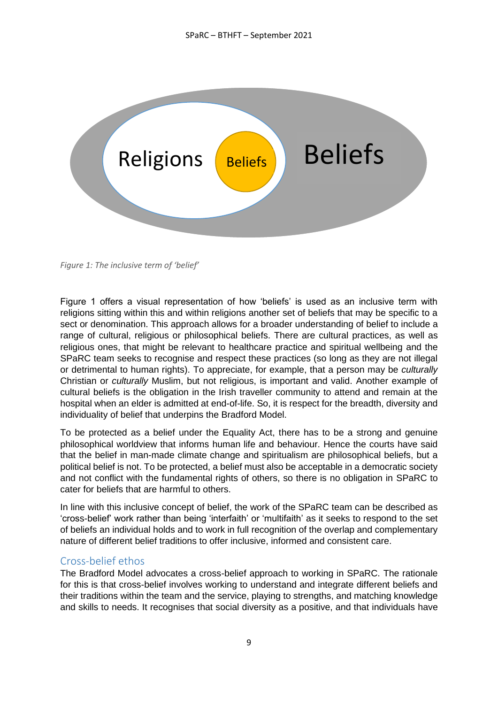

*Figure 1: The inclusive term of 'belief'*

Figure 1 offers a visual representation of how 'beliefs' is used as an inclusive term with religions sitting within this and within religions another set of beliefs that may be specific to a sect or denomination. This approach allows for a broader understanding of belief to include a range of cultural, religious or philosophical beliefs. There are cultural practices, as well as religious ones, that might be relevant to healthcare practice and spiritual wellbeing and the SPaRC team seeks to recognise and respect these practices (so long as they are not illegal or detrimental to human rights). To appreciate, for example, that a person may be *culturally* Christian or *culturally* Muslim, but not religious, is important and valid. Another example of cultural beliefs is the obligation in the Irish traveller community to attend and remain at the hospital when an elder is admitted at end-of-life. So, it is respect for the breadth, diversity and individuality of belief that underpins the Bradford Model.

To be protected as a belief under the Equality Act, there has to be a strong and genuine philosophical worldview that informs human life and behaviour. Hence the courts have said that the belief in man-made climate change and spiritualism are philosophical beliefs, but a political belief is not. To be protected, a belief must also be acceptable in a democratic society and not conflict with the fundamental rights of others, so there is no obligation in SPaRC to cater for beliefs that are harmful to others.

In line with this inclusive concept of belief, the work of the SPaRC team can be described as 'cross-belief' work rather than being 'interfaith' or 'multifaith' as it seeks to respond to the set of beliefs an individual holds and to work in full recognition of the overlap and complementary nature of different belief traditions to offer inclusive, informed and consistent care.

### <span id="page-8-0"></span>Cross-belief ethos

The Bradford Model advocates a cross-belief approach to working in SPaRC. The rationale for this is that cross-belief involves working to understand and integrate different beliefs and their traditions within the team and the service, playing to strengths, and matching knowledge and skills to needs. It recognises that social diversity as a positive, and that individuals have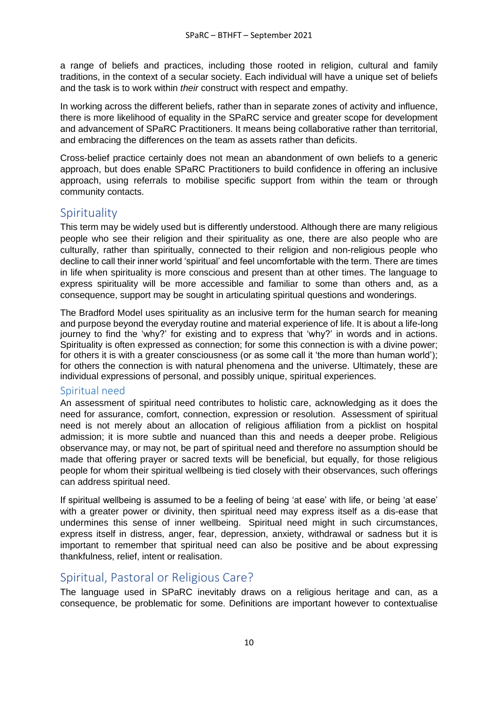a range of beliefs and practices, including those rooted in religion, cultural and family traditions, in the context of a secular society. Each individual will have a unique set of beliefs and the task is to work within *their* construct with respect and empathy.

In working across the different beliefs, rather than in separate zones of activity and influence, there is more likelihood of equality in the SPaRC service and greater scope for development and advancement of SPaRC Practitioners. It means being collaborative rather than territorial, and embracing the differences on the team as assets rather than deficits.

Cross-belief practice certainly does not mean an abandonment of own beliefs to a generic approach, but does enable SPaRC Practitioners to build confidence in offering an inclusive approach, using referrals to mobilise specific support from within the team or through community contacts.

### <span id="page-9-0"></span>Spirituality

This term may be widely used but is differently understood. Although there are many religious people who see their religion and their spirituality as one, there are also people who are culturally, rather than spiritually, connected to their religion and non-religious people who decline to call their inner world 'spiritual' and feel uncomfortable with the term. There are times in life when spirituality is more conscious and present than at other times. The language to express spirituality will be more accessible and familiar to some than others and, as a consequence, support may be sought in articulating spiritual questions and wonderings.

The Bradford Model uses spirituality as an inclusive term for the human search for meaning and purpose beyond the everyday routine and material experience of life. It is about a life-long journey to find the 'why?' for existing and to express that 'why?' in words and in actions. Spirituality is often expressed as connection; for some this connection is with a divine power; for others it is with a greater consciousness (or as some call it 'the more than human world'); for others the connection is with natural phenomena and the universe. Ultimately, these are individual expressions of personal, and possibly unique, spiritual experiences.

### <span id="page-9-1"></span>Spiritual need

An assessment of spiritual need contributes to holistic care, acknowledging as it does the need for assurance, comfort, connection, expression or resolution. Assessment of spiritual need is not merely about an allocation of religious affiliation from a picklist on hospital admission; it is more subtle and nuanced than this and needs a deeper probe. Religious observance may, or may not, be part of spiritual need and therefore no assumption should be made that offering prayer or sacred texts will be beneficial, but equally, for those religious people for whom their spiritual wellbeing is tied closely with their observances, such offerings can address spiritual need.

If spiritual wellbeing is assumed to be a feeling of being 'at ease' with life, or being 'at ease' with a greater power or divinity, then spiritual need may express itself as a dis-ease that undermines this sense of inner wellbeing. Spiritual need might in such circumstances, express itself in distress, anger, fear, depression, anxiety, withdrawal or sadness but it is important to remember that spiritual need can also be positive and be about expressing thankfulness, relief, intent or realisation.

## <span id="page-9-2"></span>Spiritual, Pastoral or Religious Care?

The language used in SPaRC inevitably draws on a religious heritage and can, as a consequence, be problematic for some. Definitions are important however to contextualise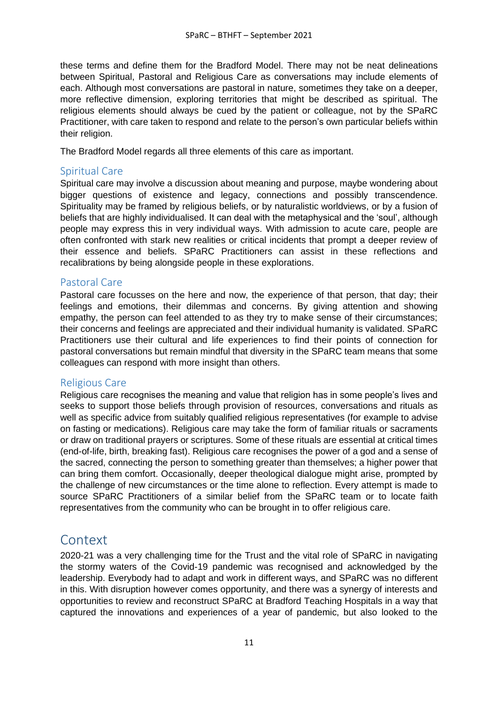these terms and define them for the Bradford Model. There may not be neat delineations between Spiritual, Pastoral and Religious Care as conversations may include elements of each. Although most conversations are pastoral in nature, sometimes they take on a deeper, more reflective dimension, exploring territories that might be described as spiritual. The religious elements should always be cued by the patient or colleague, not by the SPaRC Practitioner, with care taken to respond and relate to the person's own particular beliefs within their religion.

The Bradford Model regards all three elements of this care as important.

### <span id="page-10-0"></span>Spiritual Care

Spiritual care may involve a discussion about meaning and purpose, maybe wondering about bigger questions of existence and legacy, connections and possibly transcendence. Spirituality may be framed by religious beliefs, or by naturalistic worldviews, or by a fusion of beliefs that are highly individualised. It can deal with the metaphysical and the 'soul', although people may express this in very individual ways. With admission to acute care, people are often confronted with stark new realities or critical incidents that prompt a deeper review of their essence and beliefs. SPaRC Practitioners can assist in these reflections and recalibrations by being alongside people in these explorations.

### <span id="page-10-1"></span>Pastoral Care

Pastoral care focusses on the here and now, the experience of that person, that day; their feelings and emotions, their dilemmas and concerns. By giving attention and showing empathy, the person can feel attended to as they try to make sense of their circumstances; their concerns and feelings are appreciated and their individual humanity is validated. SPaRC Practitioners use their cultural and life experiences to find their points of connection for pastoral conversations but remain mindful that diversity in the SPaRC team means that some colleagues can respond with more insight than others.

#### <span id="page-10-2"></span>Religious Care

Religious care recognises the meaning and value that religion has in some people's lives and seeks to support those beliefs through provision of resources, conversations and rituals as well as specific advice from suitably qualified religious representatives (for example to advise on fasting or medications). Religious care may take the form of familiar rituals or sacraments or draw on traditional prayers or scriptures. Some of these rituals are essential at critical times (end-of-life, birth, breaking fast). Religious care recognises the power of a god and a sense of the sacred, connecting the person to something greater than themselves; a higher power that can bring them comfort. Occasionally, deeper theological dialogue might arise, prompted by the challenge of new circumstances or the time alone to reflection. Every attempt is made to source SPaRC Practitioners of a similar belief from the SPaRC team or to locate faith representatives from the community who can be brought in to offer religious care.

## <span id="page-10-3"></span>Context

2020-21 was a very challenging time for the Trust and the vital role of SPaRC in navigating the stormy waters of the Covid-19 pandemic was recognised and acknowledged by the leadership. Everybody had to adapt and work in different ways, and SPaRC was no different in this. With disruption however comes opportunity, and there was a synergy of interests and opportunities to review and reconstruct SPaRC at Bradford Teaching Hospitals in a way that captured the innovations and experiences of a year of pandemic, but also looked to the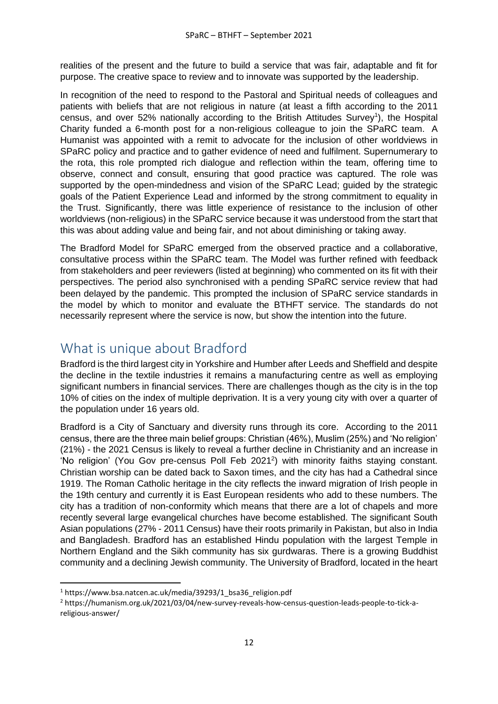realities of the present and the future to build a service that was fair, adaptable and fit for purpose. The creative space to review and to innovate was supported by the leadership.

In recognition of the need to respond to the Pastoral and Spiritual needs of colleagues and patients with beliefs that are not religious in nature (at least a fifth according to the 2011 census, and over 52% nationally according to the British Attitudes Survey<sup>1</sup>), the Hospital Charity funded a 6-month post for a non-religious colleague to join the SPaRC team. A Humanist was appointed with a remit to advocate for the inclusion of other worldviews in SPaRC policy and practice and to gather evidence of need and fulfilment. Supernumerary to the rota, this role prompted rich dialogue and reflection within the team, offering time to observe, connect and consult, ensuring that good practice was captured. The role was supported by the open-mindedness and vision of the SPaRC Lead; guided by the strategic goals of the Patient Experience Lead and informed by the strong commitment to equality in the Trust. Significantly, there was little experience of resistance to the inclusion of other worldviews (non-religious) in the SPaRC service because it was understood from the start that this was about adding value and being fair, and not about diminishing or taking away.

The Bradford Model for SPaRC emerged from the observed practice and a collaborative, consultative process within the SPaRC team. The Model was further refined with feedback from stakeholders and peer reviewers (listed at beginning) who commented on its fit with their perspectives. The period also synchronised with a pending SPaRC service review that had been delayed by the pandemic. This prompted the inclusion of SPaRC service standards in the model by which to monitor and evaluate the BTHFT service. The standards do not necessarily represent where the service is now, but show the intention into the future.

## <span id="page-11-0"></span>What is unique about Bradford

Bradford is the third largest city in Yorkshire and Humber after Leeds and Sheffield and despite the decline in the textile industries it remains a manufacturing centre as well as employing significant numbers in financial services. There are challenges though as the city is in the top 10% of cities on the index of multiple deprivation. It is a very young city with over a quarter of the population under 16 years old.

Bradford is a City of Sanctuary and diversity runs through its core. According to the 2011 census, there are the three main belief groups: Christian (46%), Muslim (25%) and 'No religion' (21%) - the 2021 Census is likely to reveal a further decline in Christianity and an increase in 'No religion' (You Gov pre-census Poll Feb 2021<sup>2</sup>) with minority faiths staying constant. Christian worship can be dated back to Saxon times, and the city has had a Cathedral since 1919. The Roman Catholic heritage in the city reflects the inward migration of Irish people in the 19th century and currently it is East European residents who add to these numbers. The city has a tradition of non-conformity which means that there are a lot of chapels and more recently several large evangelical churches have become established. The significant South Asian populations (27% - 2011 Census) have their roots primarily in Pakistan, but also in India and Bangladesh. Bradford has an established Hindu population with the largest Temple in Northern England and the Sikh community has six gurdwaras. There is a growing Buddhist community and a declining Jewish community. The University of Bradford, located in the heart

<sup>&</sup>lt;sup>1</sup> https://www.bsa.natcen.ac.uk/media/39293/1\_bsa36\_religion.pdf

<sup>2</sup> https://humanism.org.uk/2021/03/04/new-survey-reveals-how-census-question-leads-people-to-tick-areligious-answer/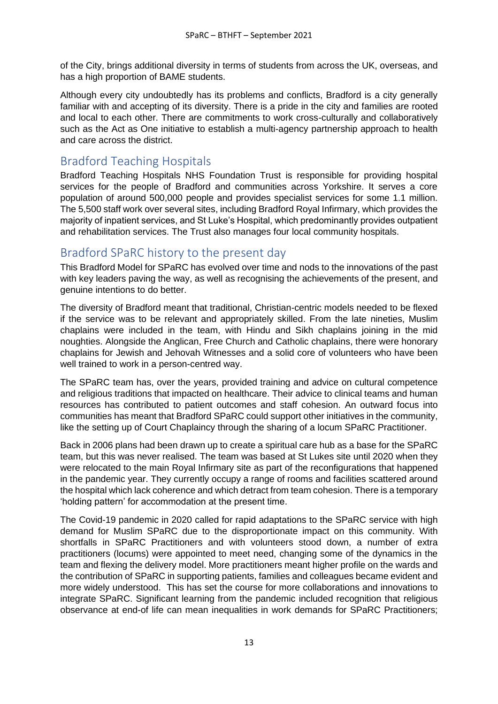of the City, brings additional diversity in terms of students from across the UK, overseas, and has a high proportion of BAME students.

Although every city undoubtedly has its problems and conflicts, Bradford is a city generally familiar with and accepting of its diversity. There is a pride in the city and families are rooted and local to each other. There are commitments to work cross-culturally and collaboratively such as the Act as One initiative to establish a multi-agency partnership approach to health and care across the district.

### <span id="page-12-0"></span>Bradford Teaching Hospitals

Bradford Teaching Hospitals NHS Foundation Trust is responsible for providing hospital services for the people of Bradford and communities across Yorkshire. It serves a core population of around 500,000 people and provides specialist services for some 1.1 million. The 5,500 staff work over several sites, including Bradford Royal Infirmary, which provides the majority of inpatient services, and St Luke's Hospital, which predominantly provides outpatient and rehabilitation services. The Trust also manages four local community hospitals.

## <span id="page-12-1"></span>Bradford SPaRC history to the present day

This Bradford Model for SPaRC has evolved over time and nods to the innovations of the past with key leaders paving the way, as well as recognising the achievements of the present, and genuine intentions to do better.

The diversity of Bradford meant that traditional, Christian-centric models needed to be flexed if the service was to be relevant and appropriately skilled. From the late nineties, Muslim chaplains were included in the team, with Hindu and Sikh chaplains joining in the mid noughties. Alongside the Anglican, Free Church and Catholic chaplains, there were honorary chaplains for Jewish and Jehovah Witnesses and a solid core of volunteers who have been well trained to work in a person-centred way.

The SPaRC team has, over the years, provided training and advice on cultural competence and religious traditions that impacted on healthcare. Their advice to clinical teams and human resources has contributed to patient outcomes and staff cohesion. An outward focus into communities has meant that Bradford SPaRC could support other initiatives in the community, like the setting up of Court Chaplaincy through the sharing of a locum SPaRC Practitioner.

Back in 2006 plans had been drawn up to create a spiritual care hub as a base for the SPaRC team, but this was never realised. The team was based at St Lukes site until 2020 when they were relocated to the main Royal Infirmary site as part of the reconfigurations that happened in the pandemic year. They currently occupy a range of rooms and facilities scattered around the hospital which lack coherence and which detract from team cohesion. There is a temporary 'holding pattern' for accommodation at the present time.

The Covid-19 pandemic in 2020 called for rapid adaptations to the SPaRC service with high demand for Muslim SPaRC due to the disproportionate impact on this community. With shortfalls in SPaRC Practitioners and with volunteers stood down, a number of extra practitioners (locums) were appointed to meet need, changing some of the dynamics in the team and flexing the delivery model. More practitioners meant higher profile on the wards and the contribution of SPaRC in supporting patients, families and colleagues became evident and more widely understood. This has set the course for more collaborations and innovations to integrate SPaRC. Significant learning from the pandemic included recognition that religious observance at end-of life can mean inequalities in work demands for SPaRC Practitioners;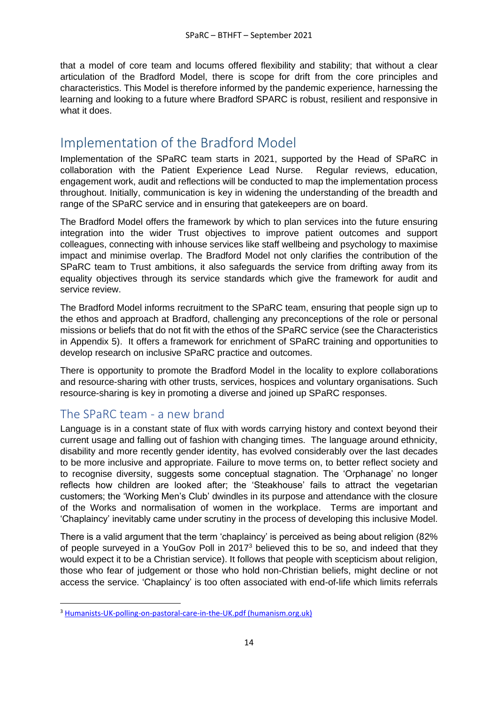that a model of core team and locums offered flexibility and stability; that without a clear articulation of the Bradford Model, there is scope for drift from the core principles and characteristics. This Model is therefore informed by the pandemic experience, harnessing the learning and looking to a future where Bradford SPARC is robust, resilient and responsive in what it does.

## <span id="page-13-0"></span>Implementation of the Bradford Model

Implementation of the SPaRC team starts in 2021, supported by the Head of SPaRC in collaboration with the Patient Experience Lead Nurse. Regular reviews, education, engagement work, audit and reflections will be conducted to map the implementation process throughout. Initially, communication is key in widening the understanding of the breadth and range of the SPaRC service and in ensuring that gatekeepers are on board.

The Bradford Model offers the framework by which to plan services into the future ensuring integration into the wider Trust objectives to improve patient outcomes and support colleagues, connecting with inhouse services like staff wellbeing and psychology to maximise impact and minimise overlap. The Bradford Model not only clarifies the contribution of the SPaRC team to Trust ambitions, it also safeguards the service from drifting away from its equality objectives through its service standards which give the framework for audit and service review.

The Bradford Model informs recruitment to the SPaRC team, ensuring that people sign up to the ethos and approach at Bradford, challenging any preconceptions of the role or personal missions or beliefs that do not fit with the ethos of the SPaRC service (see the Characteristics in Appendix 5). It offers a framework for enrichment of SPaRC training and opportunities to develop research on inclusive SPaRC practice and outcomes.

There is opportunity to promote the Bradford Model in the locality to explore collaborations and resource-sharing with other trusts, services, hospices and voluntary organisations. Such resource-sharing is key in promoting a diverse and joined up SPaRC responses.

## <span id="page-13-1"></span>The SPaRC team - a new brand

Language is in a constant state of flux with words carrying history and context beyond their current usage and falling out of fashion with changing times. The language around ethnicity, disability and more recently gender identity, has evolved considerably over the last decades to be more inclusive and appropriate. Failure to move terms on, to better reflect society and to recognise diversity, suggests some conceptual stagnation. The 'Orphanage' no longer reflects how children are looked after; the 'Steakhouse' fails to attract the vegetarian customers; the 'Working Men's Club' dwindles in its purpose and attendance with the closure of the Works and normalisation of women in the workplace. Terms are important and 'Chaplaincy' inevitably came under scrutiny in the process of developing this inclusive Model.

There is a valid argument that the term 'chaplaincy' is perceived as being about religion (82% of people surveyed in a YouGov Poll in 2017<sup>3</sup> believed this to be so, and indeed that they would expect it to be a Christian service). It follows that people with scepticism about religion, those who fear of judgement or those who hold non-Christian beliefs, might decline or not access the service. 'Chaplaincy' is too often associated with end-of-life which limits referrals

<sup>3</sup> [Humanists-UK-polling-on-pastoral-care-in-the-UK.pdf \(humanism.org.uk\)](https://humanism.org.uk/wp-content/uploads/Humanists-UK-polling-on-pastoral-care-in-the-UK.pdf)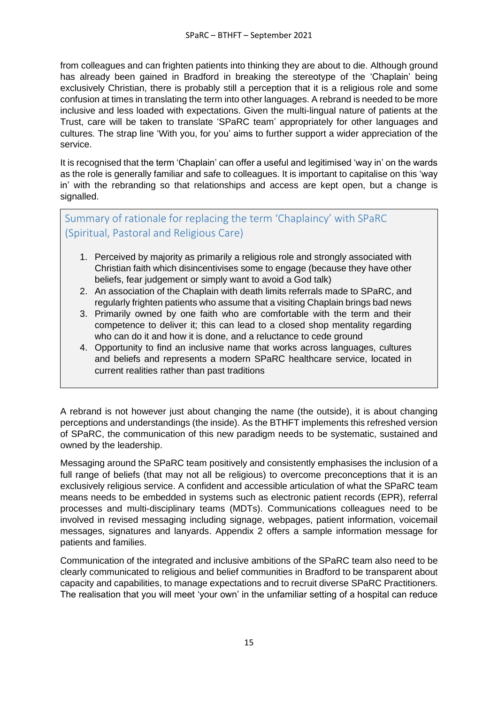from colleagues and can frighten patients into thinking they are about to die. Although ground has already been gained in Bradford in breaking the stereotype of the 'Chaplain' being exclusively Christian, there is probably still a perception that it is a religious role and some confusion at times in translating the term into other languages. A rebrand is needed to be more inclusive and less loaded with expectations. Given the multi-lingual nature of patients at the Trust, care will be taken to translate 'SPaRC team' appropriately for other languages and cultures. The strap line 'With you, for you' aims to further support a wider appreciation of the service.

It is recognised that the term 'Chaplain' can offer a useful and legitimised 'way in' on the wards as the role is generally familiar and safe to colleagues. It is important to capitalise on this 'way in' with the rebranding so that relationships and access are kept open, but a change is signalled.

<span id="page-14-0"></span>Summary of rationale for replacing the term 'Chaplaincy' with SPaRC (Spiritual, Pastoral and Religious Care)

- 1. Perceived by majority as primarily a religious role and strongly associated with Christian faith which disincentivises some to engage (because they have other beliefs, fear judgement or simply want to avoid a God talk)
- 2. An association of the Chaplain with death limits referrals made to SPaRC, and regularly frighten patients who assume that a visiting Chaplain brings bad news
- 3. Primarily owned by one faith who are comfortable with the term and their competence to deliver it; this can lead to a closed shop mentality regarding who can do it and how it is done, and a reluctance to cede ground
- 4. Opportunity to find an inclusive name that works across languages, cultures and beliefs and represents a modern SPaRC healthcare service, located in current realities rather than past traditions

A rebrand is not however just about changing the name (the outside), it is about changing perceptions and understandings (the inside). As the BTHFT implements this refreshed version of SPaRC, the communication of this new paradigm needs to be systematic, sustained and owned by the leadership.

Messaging around the SPaRC team positively and consistently emphasises the inclusion of a full range of beliefs (that may not all be religious) to overcome preconceptions that it is an exclusively religious service. A confident and accessible articulation of what the SPaRC team means needs to be embedded in systems such as electronic patient records (EPR), referral processes and multi-disciplinary teams (MDTs). Communications colleagues need to be involved in revised messaging including signage, webpages, patient information, voicemail messages, signatures and lanyards. Appendix 2 offers a sample information message for patients and families.

Communication of the integrated and inclusive ambitions of the SPaRC team also need to be clearly communicated to religious and belief communities in Bradford to be transparent about capacity and capabilities, to manage expectations and to recruit diverse SPaRC Practitioners. The realisation that you will meet 'your own' in the unfamiliar setting of a hospital can reduce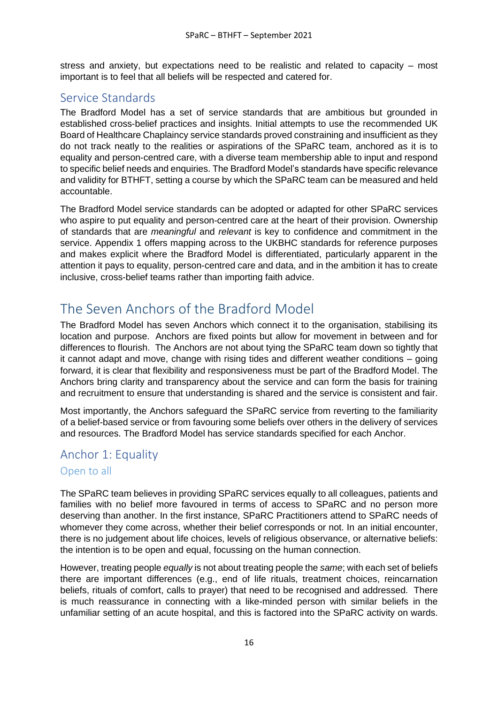stress and anxiety, but expectations need to be realistic and related to capacity – most important is to feel that all beliefs will be respected and catered for.

### <span id="page-15-0"></span>Service Standards

The Bradford Model has a set of service standards that are ambitious but grounded in established cross-belief practices and insights. Initial attempts to use the recommended UK Board of Healthcare Chaplaincy service standards proved constraining and insufficient as they do not track neatly to the realities or aspirations of the SPaRC team, anchored as it is to equality and person-centred care, with a diverse team membership able to input and respond to specific belief needs and enquiries. The Bradford Model's standards have specific relevance and validity for BTHFT, setting a course by which the SPaRC team can be measured and held accountable.

The Bradford Model service standards can be adopted or adapted for other SPaRC services who aspire to put equality and person-centred care at the heart of their provision. Ownership of standards that are *meaningful* and *relevant* is key to confidence and commitment in the service. Appendix 1 offers mapping across to the UKBHC standards for reference purposes and makes explicit where the Bradford Model is differentiated, particularly apparent in the attention it pays to equality, person-centred care and data, and in the ambition it has to create inclusive, cross-belief teams rather than importing faith advice.

# <span id="page-15-1"></span>The Seven Anchors of the Bradford Model

The Bradford Model has seven Anchors which connect it to the organisation, stabilising its location and purpose. Anchors are fixed points but allow for movement in between and for differences to flourish. The Anchors are not about tying the SPaRC team down so tightly that it cannot adapt and move, change with rising tides and different weather conditions – going forward, it is clear that flexibility and responsiveness must be part of the Bradford Model. The Anchors bring clarity and transparency about the service and can form the basis for training and recruitment to ensure that understanding is shared and the service is consistent and fair.

Most importantly, the Anchors safeguard the SPaRC service from reverting to the familiarity of a belief-based service or from favouring some beliefs over others in the delivery of services and resources. The Bradford Model has service standards specified for each Anchor.

## <span id="page-15-2"></span>Anchor 1: Equality Open to all

The SPaRC team believes in providing SPaRC services equally to all colleagues, patients and families with no belief more favoured in terms of access to SPaRC and no person more deserving than another. In the first instance, SPaRC Practitioners attend to SPaRC needs of whomever they come across, whether their belief corresponds or not. In an initial encounter, there is no judgement about life choices, levels of religious observance, or alternative beliefs: the intention is to be open and equal, focussing on the human connection.

However, treating people *equally* is not about treating people the *same*; with each set of beliefs there are important differences (e.g., end of life rituals, treatment choices, reincarnation beliefs, rituals of comfort, calls to prayer) that need to be recognised and addressed. There is much reassurance in connecting with a like-minded person with similar beliefs in the unfamiliar setting of an acute hospital, and this is factored into the SPaRC activity on wards.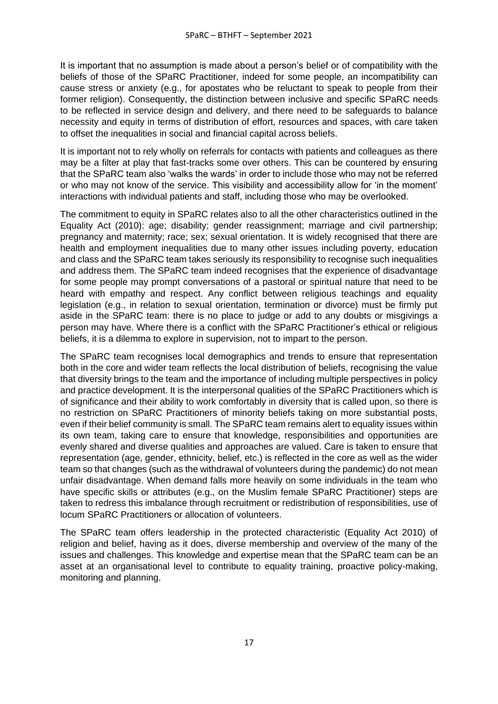It is important that no assumption is made about a person's belief or of compatibility with the beliefs of those of the SPaRC Practitioner, indeed for some people, an incompatibility can cause stress or anxiety (e.g., for apostates who be reluctant to speak to people from their former religion). Consequently, the distinction between inclusive and specific SPaRC needs to be reflected in service design and delivery, and there need to be safeguards to balance necessity and equity in terms of distribution of effort, resources and spaces, with care taken to offset the inequalities in social and financial capital across beliefs.

It is important not to rely wholly on referrals for contacts with patients and colleagues as there may be a filter at play that fast-tracks some over others. This can be countered by ensuring that the SPaRC team also 'walks the wards' in order to include those who may not be referred or who may not know of the service. This visibility and accessibility allow for 'in the moment' interactions with individual patients and staff, including those who may be overlooked.

The commitment to equity in SPaRC relates also to all the other characteristics outlined in the Equality Act (2010): age; disability; gender reassignment; marriage and civil partnership; pregnancy and maternity; race; sex; sexual orientation. It is widely recognised that there are health and employment inequalities due to many other issues including poverty, education and class and the SPaRC team takes seriously its responsibility to recognise such inequalities and address them. The SPaRC team indeed recognises that the experience of disadvantage for some people may prompt conversations of a pastoral or spiritual nature that need to be heard with empathy and respect. Any conflict between religious teachings and equality legislation (e.g., in relation to sexual orientation, termination or divorce) must be firmly put aside in the SPaRC team: there is no place to judge or add to any doubts or misgivings a person may have. Where there is a conflict with the SPaRC Practitioner's ethical or religious beliefs, it is a dilemma to explore in supervision, not to impart to the person.

The SPaRC team recognises local demographics and trends to ensure that representation both in the core and wider team reflects the local distribution of beliefs, recognising the value that diversity brings to the team and the importance of including multiple perspectives in policy and practice development. It is the interpersonal qualities of the SPaRC Practitioners which is of significance and their ability to work comfortably in diversity that is called upon, so there is no restriction on SPaRC Practitioners of minority beliefs taking on more substantial posts, even if their belief community is small. The SPaRC team remains alert to equality issues within its own team, taking care to ensure that knowledge, responsibilities and opportunities are evenly shared and diverse qualities and approaches are valued. Care is taken to ensure that representation (age, gender, ethnicity, belief, etc.) is reflected in the core as well as the wider team so that changes (such as the withdrawal of volunteers during the pandemic) do not mean unfair disadvantage. When demand falls more heavily on some individuals in the team who have specific skills or attributes (e.g., on the Muslim female SPaRC Practitioner) steps are taken to redress this imbalance through recruitment or redistribution of responsibilities, use of locum SPaRC Practitioners or allocation of volunteers.

The SPaRC team offers leadership in the protected characteristic (Equality Act 2010) of religion and belief, having as it does, diverse membership and overview of the many of the issues and challenges. This knowledge and expertise mean that the SPaRC team can be an asset at an organisational level to contribute to equality training, proactive policy-making, monitoring and planning.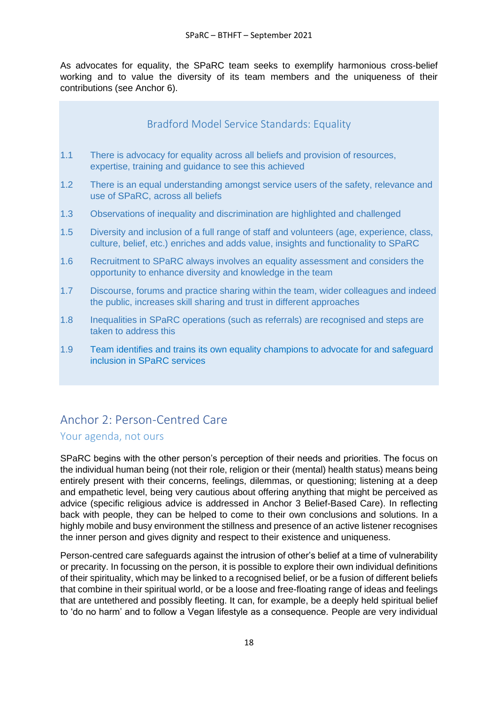As advocates for equality, the SPaRC team seeks to exemplify harmonious cross-belief working and to value the diversity of its team members and the uniqueness of their contributions (see Anchor 6).

### Bradford Model Service Standards: Equality

- <span id="page-17-0"></span>1.1 There is advocacy for equality across all beliefs and provision of resources, expertise, training and guidance to see this achieved
- 1.2 There is an equal understanding amongst service users of the safety, relevance and use of SPaRC, across all beliefs
- 1.3 Observations of inequality and discrimination are highlighted and challenged
- 1.5 Diversity and inclusion of a full range of staff and volunteers (age, experience, class, culture, belief, etc.) enriches and adds value, insights and functionality to SPaRC
- 1.6 Recruitment to SPaRC always involves an equality assessment and considers the opportunity to enhance diversity and knowledge in the team
- 1.7 Discourse, forums and practice sharing within the team, wider colleagues and indeed the public, increases skill sharing and trust in different approaches
- 1.8 Inequalities in SPaRC operations (such as referrals) are recognised and steps are taken to address this
- 1.9 Team identifies and trains its own equality champions to advocate for and safeguard inclusion in SPaRC services

## <span id="page-17-1"></span>Anchor 2: Person-Centred Care

### Your agenda, not ours

SPaRC begins with the other person's perception of their needs and priorities. The focus on the individual human being (not their role, religion or their (mental) health status) means being entirely present with their concerns, feelings, dilemmas, or questioning; listening at a deep and empathetic level, being very cautious about offering anything that might be perceived as advice (specific religious advice is addressed in Anchor 3 Belief-Based Care). In reflecting back with people, they can be helped to come to their own conclusions and solutions. In a highly mobile and busy environment the stillness and presence of an active listener recognises the inner person and gives dignity and respect to their existence and uniqueness.

Person-centred care safeguards against the intrusion of other's belief at a time of vulnerability or precarity. In focussing on the person, it is possible to explore their own individual definitions of their spirituality, which may be linked to a recognised belief, or be a fusion of different beliefs that combine in their spiritual world, or be a loose and free-floating range of ideas and feelings that are untethered and possibly fleeting. It can, for example, be a deeply held spiritual belief to 'do no harm' and to follow a Vegan lifestyle as a consequence. People are very individual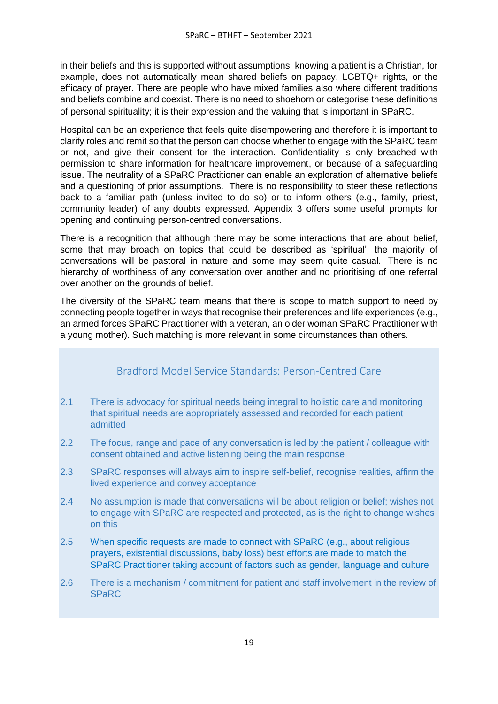in their beliefs and this is supported without assumptions; knowing a patient is a Christian, for example, does not automatically mean shared beliefs on papacy, LGBTQ+ rights, or the efficacy of prayer. There are people who have mixed families also where different traditions and beliefs combine and coexist. There is no need to shoehorn or categorise these definitions of personal spirituality; it is their expression and the valuing that is important in SPaRC.

Hospital can be an experience that feels quite disempowering and therefore it is important to clarify roles and remit so that the person can choose whether to engage with the SPaRC team or not, and give their consent for the interaction. Confidentiality is only breached with permission to share information for healthcare improvement, or because of a safeguarding issue. The neutrality of a SPaRC Practitioner can enable an exploration of alternative beliefs and a questioning of prior assumptions. There is no responsibility to steer these reflections back to a familiar path (unless invited to do so) or to inform others (e.g., family, priest, community leader) of any doubts expressed. Appendix 3 offers some useful prompts for opening and continuing person-centred conversations.

There is a recognition that although there may be some interactions that are about belief, some that may broach on topics that could be described as 'spiritual', the majority of conversations will be pastoral in nature and some may seem quite casual. There is no hierarchy of worthiness of any conversation over another and no prioritising of one referral over another on the grounds of belief.

The diversity of the SPaRC team means that there is scope to match support to need by connecting people together in ways that recognise their preferences and life experiences (e.g., an armed forces SPaRC Practitioner with a veteran, an older woman SPaRC Practitioner with a young mother). Such matching is more relevant in some circumstances than others.

### Bradford Model Service Standards: Person-Centred Care

- <span id="page-18-0"></span>2.1 There is advocacy for spiritual needs being integral to holistic care and monitoring that spiritual needs are appropriately assessed and recorded for each patient admitted
- 2.2 The focus, range and pace of any conversation is led by the patient / colleague with consent obtained and active listening being the main response
- 2.3 SPaRC responses will always aim to inspire self-belief, recognise realities, affirm the lived experience and convey acceptance
- 2.4 No assumption is made that conversations will be about religion or belief; wishes not to engage with SPaRC are respected and protected, as is the right to change wishes on this
- 2.5 When specific requests are made to connect with SPaRC (e.g., about religious prayers, existential discussions, baby loss) best efforts are made to match the SPaRC Practitioner taking account of factors such as gender, language and culture
- 2.6 There is a mechanism / commitment for patient and staff involvement in the review of SPaRC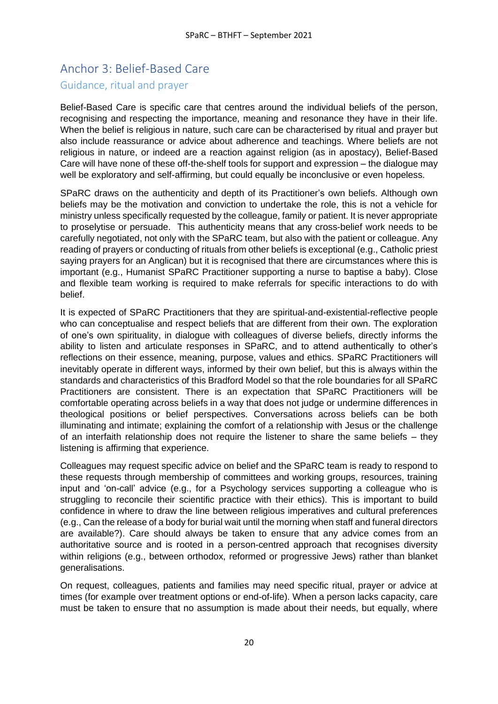## <span id="page-19-0"></span>Anchor 3: Belief-Based Care Guidance, ritual and prayer

Belief-Based Care is specific care that centres around the individual beliefs of the person, recognising and respecting the importance, meaning and resonance they have in their life. When the belief is religious in nature, such care can be characterised by ritual and prayer but also include reassurance or advice about adherence and teachings. Where beliefs are not religious in nature, or indeed are a reaction against religion (as in apostacy), Belief-Based Care will have none of these off-the-shelf tools for support and expression – the dialogue may well be exploratory and self-affirming, but could equally be inconclusive or even hopeless.

SPaRC draws on the authenticity and depth of its Practitioner's own beliefs. Although own beliefs may be the motivation and conviction to undertake the role, this is not a vehicle for ministry unless specifically requested by the colleague, family or patient. It is never appropriate to proselytise or persuade. This authenticity means that any cross-belief work needs to be carefully negotiated, not only with the SPaRC team, but also with the patient or colleague. Any reading of prayers or conducting of rituals from other beliefs is exceptional (e.g., Catholic priest saying prayers for an Anglican) but it is recognised that there are circumstances where this is important (e.g., Humanist SPaRC Practitioner supporting a nurse to baptise a baby). Close and flexible team working is required to make referrals for specific interactions to do with belief.

It is expected of SPaRC Practitioners that they are spiritual-and-existential-reflective people who can conceptualise and respect beliefs that are different from their own. The exploration of one's own spirituality, in dialogue with colleagues of diverse beliefs, directly informs the ability to listen and articulate responses in SPaRC, and to attend authentically to other's reflections on their essence, meaning, purpose, values and ethics. SPaRC Practitioners will inevitably operate in different ways, informed by their own belief, but this is always within the standards and characteristics of this Bradford Model so that the role boundaries for all SPaRC Practitioners are consistent. There is an expectation that SPaRC Practitioners will be comfortable operating across beliefs in a way that does not judge or undermine differences in theological positions or belief perspectives. Conversations across beliefs can be both illuminating and intimate; explaining the comfort of a relationship with Jesus or the challenge of an interfaith relationship does not require the listener to share the same beliefs – they listening is affirming that experience.

Colleagues may request specific advice on belief and the SPaRC team is ready to respond to these requests through membership of committees and working groups, resources, training input and 'on-call' advice (e.g., for a Psychology services supporting a colleague who is struggling to reconcile their scientific practice with their ethics). This is important to build confidence in where to draw the line between religious imperatives and cultural preferences (e.g., Can the release of a body for burial wait until the morning when staff and funeral directors are available?). Care should always be taken to ensure that any advice comes from an authoritative source and is rooted in a person-centred approach that recognises diversity within religions (e.g., between orthodox, reformed or progressive Jews) rather than blanket generalisations.

On request, colleagues, patients and families may need specific ritual, prayer or advice at times (for example over treatment options or end-of-life). When a person lacks capacity, care must be taken to ensure that no assumption is made about their needs, but equally, where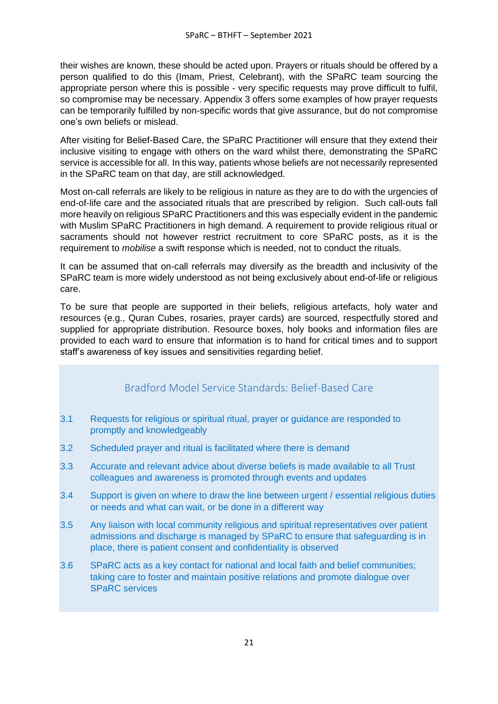their wishes are known, these should be acted upon. Prayers or rituals should be offered by a person qualified to do this (Imam, Priest, Celebrant), with the SPaRC team sourcing the appropriate person where this is possible - very specific requests may prove difficult to fulfil, so compromise may be necessary. Appendix 3 offers some examples of how prayer requests can be temporarily fulfilled by non-specific words that give assurance, but do not compromise one's own beliefs or mislead.

After visiting for Belief-Based Care, the SPaRC Practitioner will ensure that they extend their inclusive visiting to engage with others on the ward whilst there, demonstrating the SPaRC service is accessible for all. In this way, patients whose beliefs are not necessarily represented in the SPaRC team on that day, are still acknowledged.

Most on-call referrals are likely to be religious in nature as they are to do with the urgencies of end-of-life care and the associated rituals that are prescribed by religion. Such call-outs fall more heavily on religious SPaRC Practitioners and this was especially evident in the pandemic with Muslim SPaRC Practitioners in high demand. A requirement to provide religious ritual or sacraments should not however restrict recruitment to core SPaRC posts, as it is the requirement to *mobilise* a swift response which is needed, not to conduct the rituals.

It can be assumed that on-call referrals may diversify as the breadth and inclusivity of the SPaRC team is more widely understood as not being exclusively about end-of-life or religious care.

To be sure that people are supported in their beliefs, religious artefacts, holy water and resources (e.g., Quran Cubes, rosaries, prayer cards) are sourced, respectfully stored and supplied for appropriate distribution. Resource boxes, holy books and information files are provided to each ward to ensure that information is to hand for critical times and to support staff's awareness of key issues and sensitivities regarding belief.

### Bradford Model Service Standards: Belief-Based Care

- <span id="page-20-0"></span>3.1 Requests for religious or spiritual ritual, prayer or guidance are responded to promptly and knowledgeably
- 3.2 Scheduled prayer and ritual is facilitated where there is demand
- 3.3 Accurate and relevant advice about diverse beliefs is made available to all Trust colleagues and awareness is promoted through events and updates
- 3.4 Support is given on where to draw the line between urgent / essential religious duties or needs and what can wait, or be done in a different way
- 3.5 Any liaison with local community religious and spiritual representatives over patient admissions and discharge is managed by SPaRC to ensure that safeguarding is in place, there is patient consent and confidentiality is observed
- 3.6 SPaRC acts as a key contact for national and local faith and belief communities; taking care to foster and maintain positive relations and promote dialogue over SPaRC services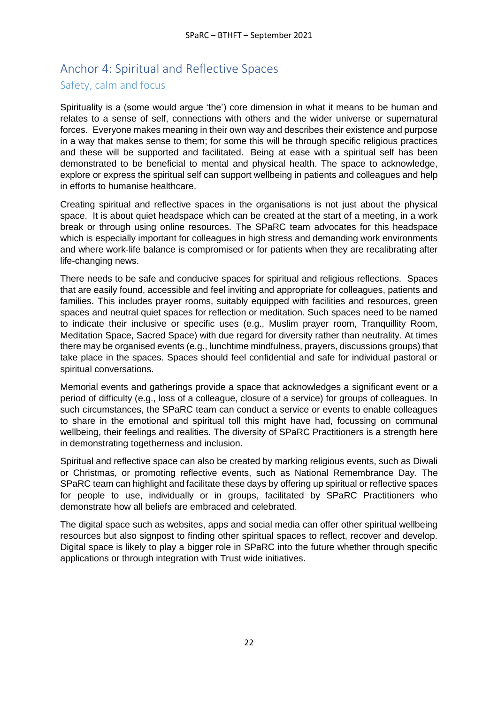## <span id="page-21-0"></span>Anchor 4: Spiritual and Reflective Spaces Safety, calm and focus

Spirituality is a (some would argue 'the') core dimension in what it means to be human and relates to a sense of self, connections with others and the wider universe or supernatural forces. Everyone makes meaning in their own way and describes their existence and purpose in a way that makes sense to them; for some this will be through specific religious practices and these will be supported and facilitated. Being at ease with a spiritual self has been demonstrated to be beneficial to mental and physical health. The space to acknowledge, explore or express the spiritual self can support wellbeing in patients and colleagues and help in efforts to humanise healthcare.

Creating spiritual and reflective spaces in the organisations is not just about the physical space. It is about quiet headspace which can be created at the start of a meeting, in a work break or through using online resources. The SPaRC team advocates for this headspace which is especially important for colleagues in high stress and demanding work environments and where work-life balance is compromised or for patients when they are recalibrating after life-changing news.

There needs to be safe and conducive spaces for spiritual and religious reflections. Spaces that are easily found, accessible and feel inviting and appropriate for colleagues, patients and families. This includes prayer rooms, suitably equipped with facilities and resources, green spaces and neutral quiet spaces for reflection or meditation. Such spaces need to be named to indicate their inclusive or specific uses (e.g., Muslim prayer room, Tranquillity Room, Meditation Space, Sacred Space) with due regard for diversity rather than neutrality. At times there may be organised events (e.g., lunchtime mindfulness, prayers, discussions groups) that take place in the spaces. Spaces should feel confidential and safe for individual pastoral or spiritual conversations.

Memorial events and gatherings provide a space that acknowledges a significant event or a period of difficulty (e.g., loss of a colleague, closure of a service) for groups of colleagues. In such circumstances, the SPaRC team can conduct a service or events to enable colleagues to share in the emotional and spiritual toll this might have had, focussing on communal wellbeing, their feelings and realities. The diversity of SPaRC Practitioners is a strength here in demonstrating togetherness and inclusion.

Spiritual and reflective space can also be created by marking religious events, such as Diwali or Christmas, or promoting reflective events, such as National Remembrance Day. The SPaRC team can highlight and facilitate these days by offering up spiritual or reflective spaces for people to use, individually or in groups, facilitated by SPaRC Practitioners who demonstrate how all beliefs are embraced and celebrated.

The digital space such as websites, apps and social media can offer other spiritual wellbeing resources but also signpost to finding other spiritual spaces to reflect, recover and develop. Digital space is likely to play a bigger role in SPaRC into the future whether through specific applications or through integration with Trust wide initiatives.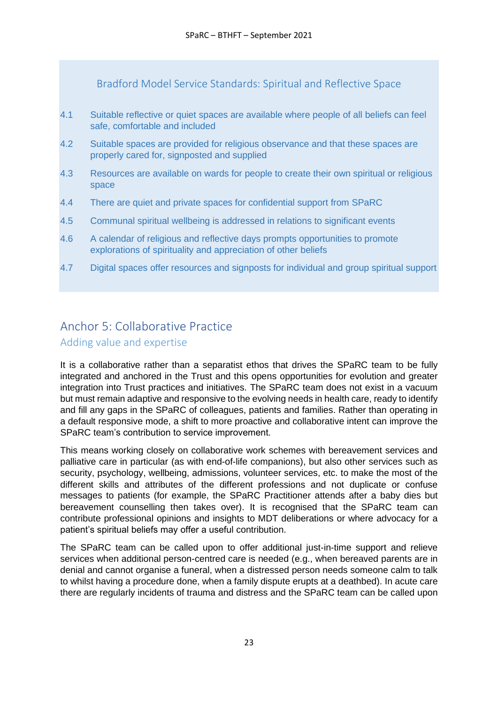Bradford Model Service Standards: Spiritual and Reflective Space

- <span id="page-22-0"></span>4.1 Suitable reflective or quiet spaces are available where people of all beliefs can feel safe, comfortable and included
- 4.2 Suitable spaces are provided for religious observance and that these spaces are properly cared for, signposted and supplied
- 4.3 Resources are available on wards for people to create their own spiritual or religious space
- 4.4 There are quiet and private spaces for confidential support from SPaRC
- 4.5 Communal spiritual wellbeing is addressed in relations to significant events
- 4.6 A calendar of religious and reflective days prompts opportunities to promote explorations of spirituality and appreciation of other beliefs
- 4.7 Digital spaces offer resources and signposts for individual and group spiritual support

## <span id="page-22-1"></span>Anchor 5: Collaborative Practice

### Adding value and expertise

It is a collaborative rather than a separatist ethos that drives the SPaRC team to be fully integrated and anchored in the Trust and this opens opportunities for evolution and greater integration into Trust practices and initiatives. The SPaRC team does not exist in a vacuum but must remain adaptive and responsive to the evolving needs in health care, ready to identify and fill any gaps in the SPaRC of colleagues, patients and families. Rather than operating in a default responsive mode, a shift to more proactive and collaborative intent can improve the SPaRC team's contribution to service improvement.

This means working closely on collaborative work schemes with bereavement services and palliative care in particular (as with end-of-life companions), but also other services such as security, psychology, wellbeing, admissions, volunteer services, etc. to make the most of the different skills and attributes of the different professions and not duplicate or confuse messages to patients (for example, the SPaRC Practitioner attends after a baby dies but bereavement counselling then takes over). It is recognised that the SPaRC team can contribute professional opinions and insights to MDT deliberations or where advocacy for a patient's spiritual beliefs may offer a useful contribution.

The SPaRC team can be called upon to offer additional just-in-time support and relieve services when additional person-centred care is needed (e.g., when bereaved parents are in denial and cannot organise a funeral, when a distressed person needs someone calm to talk to whilst having a procedure done, when a family dispute erupts at a deathbed). In acute care there are regularly incidents of trauma and distress and the SPaRC team can be called upon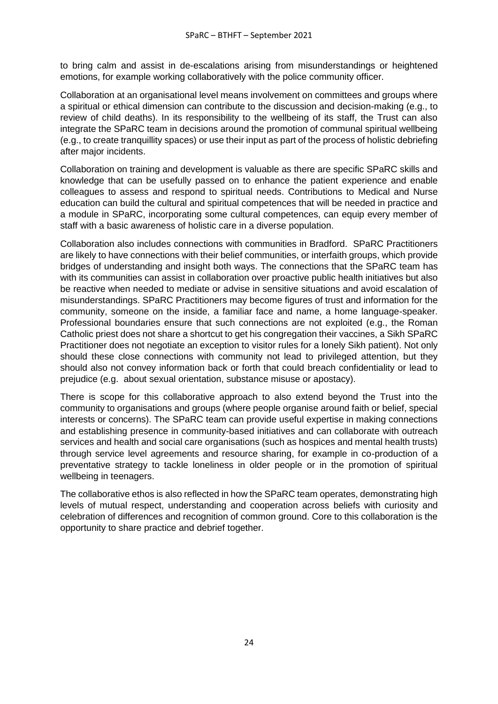to bring calm and assist in de-escalations arising from misunderstandings or heightened emotions, for example working collaboratively with the police community officer.

Collaboration at an organisational level means involvement on committees and groups where a spiritual or ethical dimension can contribute to the discussion and decision-making (e.g., to review of child deaths). In its responsibility to the wellbeing of its staff, the Trust can also integrate the SPaRC team in decisions around the promotion of communal spiritual wellbeing (e.g., to create tranquillity spaces) or use their input as part of the process of holistic debriefing after major incidents.

Collaboration on training and development is valuable as there are specific SPaRC skills and knowledge that can be usefully passed on to enhance the patient experience and enable colleagues to assess and respond to spiritual needs. Contributions to Medical and Nurse education can build the cultural and spiritual competences that will be needed in practice and a module in SPaRC, incorporating some cultural competences, can equip every member of staff with a basic awareness of holistic care in a diverse population.

Collaboration also includes connections with communities in Bradford. SPaRC Practitioners are likely to have connections with their belief communities, or interfaith groups, which provide bridges of understanding and insight both ways. The connections that the SPaRC team has with its communities can assist in collaboration over proactive public health initiatives but also be reactive when needed to mediate or advise in sensitive situations and avoid escalation of misunderstandings. SPaRC Practitioners may become figures of trust and information for the community, someone on the inside, a familiar face and name, a home language-speaker. Professional boundaries ensure that such connections are not exploited (e.g., the Roman Catholic priest does not share a shortcut to get his congregation their vaccines, a Sikh SPaRC Practitioner does not negotiate an exception to visitor rules for a lonely Sikh patient). Not only should these close connections with community not lead to privileged attention, but they should also not convey information back or forth that could breach confidentiality or lead to prejudice (e.g. about sexual orientation, substance misuse or apostacy).

There is scope for this collaborative approach to also extend beyond the Trust into the community to organisations and groups (where people organise around faith or belief, special interests or concerns). The SPaRC team can provide useful expertise in making connections and establishing presence in community-based initiatives and can collaborate with outreach services and health and social care organisations (such as hospices and mental health trusts) through service level agreements and resource sharing, for example in co-production of a preventative strategy to tackle loneliness in older people or in the promotion of spiritual wellbeing in teenagers.

The collaborative ethos is also reflected in how the SPaRC team operates, demonstrating high levels of mutual respect, understanding and cooperation across beliefs with curiosity and celebration of differences and recognition of common ground. Core to this collaboration is the opportunity to share practice and debrief together.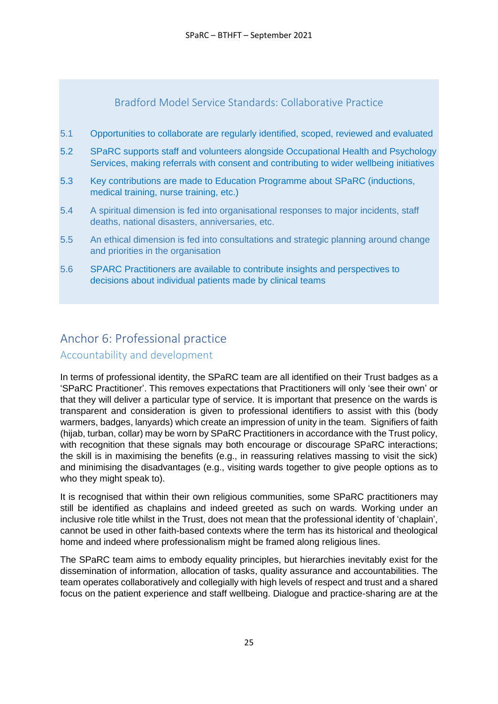### Bradford Model Service Standards: Collaborative Practice

- <span id="page-24-0"></span>5.1 Opportunities to collaborate are regularly identified, scoped, reviewed and evaluated
- 5.2 SPaRC supports staff and volunteers alongside Occupational Health and Psychology Services, making referrals with consent and contributing to wider wellbeing initiatives
- 5.3 Key contributions are made to Education Programme about SPaRC (inductions, medical training, nurse training, etc.)
- 5.4 A spiritual dimension is fed into organisational responses to major incidents, staff deaths, national disasters, anniversaries, etc.
- 5.5 An ethical dimension is fed into consultations and strategic planning around change and priorities in the organisation
- 5.6 SPARC Practitioners are available to contribute insights and perspectives to decisions about individual patients made by clinical teams

## <span id="page-24-1"></span>Anchor 6: Professional practice

Accountability and development

In terms of professional identity, the SPaRC team are all identified on their Trust badges as a 'SPaRC Practitioner'. This removes expectations that Practitioners will only 'see their own' or that they will deliver a particular type of service. It is important that presence on the wards is transparent and consideration is given to professional identifiers to assist with this (body warmers, badges, lanyards) which create an impression of unity in the team. Signifiers of faith (hijab, turban, collar) may be worn by SPaRC Practitioners in accordance with the Trust policy, with recognition that these signals may both encourage or discourage SPaRC interactions; the skill is in maximising the benefits (e.g., in reassuring relatives massing to visit the sick) and minimising the disadvantages (e.g., visiting wards together to give people options as to who they might speak to).

It is recognised that within their own religious communities, some SPaRC practitioners may still be identified as chaplains and indeed greeted as such on wards. Working under an inclusive role title whilst in the Trust, does not mean that the professional identity of 'chaplain', cannot be used in other faith-based contexts where the term has its historical and theological home and indeed where professionalism might be framed along religious lines.

The SPaRC team aims to embody equality principles, but hierarchies inevitably exist for the dissemination of information, allocation of tasks, quality assurance and accountabilities. The team operates collaboratively and collegially with high levels of respect and trust and a shared focus on the patient experience and staff wellbeing. Dialogue and practice-sharing are at the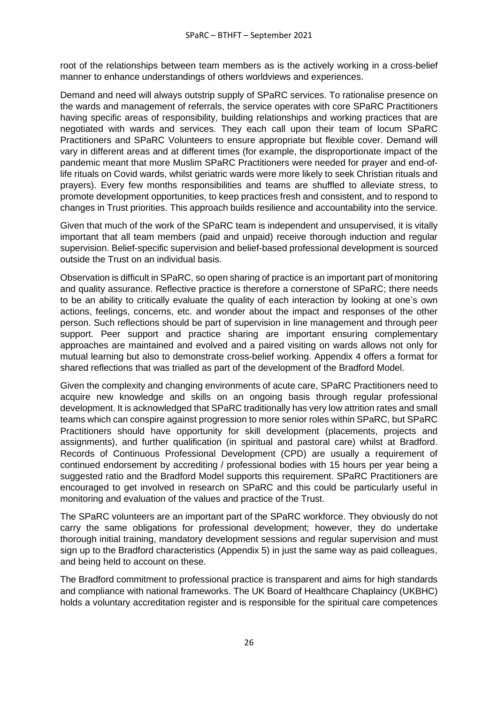root of the relationships between team members as is the actively working in a cross-belief manner to enhance understandings of others worldviews and experiences.

Demand and need will always outstrip supply of SPaRC services. To rationalise presence on the wards and management of referrals, the service operates with core SPaRC Practitioners having specific areas of responsibility, building relationships and working practices that are negotiated with wards and services. They each call upon their team of locum SPaRC Practitioners and SPaRC Volunteers to ensure appropriate but flexible cover. Demand will vary in different areas and at different times (for example, the disproportionate impact of the pandemic meant that more Muslim SPaRC Practitioners were needed for prayer and end-oflife rituals on Covid wards, whilst geriatric wards were more likely to seek Christian rituals and prayers). Every few months responsibilities and teams are shuffled to alleviate stress, to promote development opportunities, to keep practices fresh and consistent, and to respond to changes in Trust priorities. This approach builds resilience and accountability into the service.

Given that much of the work of the SPaRC team is independent and unsupervised, it is vitally important that all team members (paid and unpaid) receive thorough induction and regular supervision. Belief-specific supervision and belief-based professional development is sourced outside the Trust on an individual basis.

Observation is difficult in SPaRC, so open sharing of practice is an important part of monitoring and quality assurance. Reflective practice is therefore a cornerstone of SPaRC; there needs to be an ability to critically evaluate the quality of each interaction by looking at one's own actions, feelings, concerns, etc. and wonder about the impact and responses of the other person. Such reflections should be part of supervision in line management and through peer support. Peer support and practice sharing are important ensuring complementary approaches are maintained and evolved and a paired visiting on wards allows not only for mutual learning but also to demonstrate cross-belief working. Appendix 4 offers a format for shared reflections that was trialled as part of the development of the Bradford Model.

Given the complexity and changing environments of acute care, SPaRC Practitioners need to acquire new knowledge and skills on an ongoing basis through regular professional development. It is acknowledged that SPaRC traditionally has very low attrition rates and small teams which can conspire against progression to more senior roles within SPaRC, but SPaRC Practitioners should have opportunity for skill development (placements, projects and assignments), and further qualification (in spiritual and pastoral care) whilst at Bradford. Records of Continuous Professional Development (CPD) are usually a requirement of continued endorsement by accrediting / professional bodies with 15 hours per year being a suggested ratio and the Bradford Model supports this requirement. SPaRC Practitioners are encouraged to get involved in research on SPaRC and this could be particularly useful in monitoring and evaluation of the values and practice of the Trust.

The SPaRC volunteers are an important part of the SPaRC workforce. They obviously do not carry the same obligations for professional development; however, they do undertake thorough initial training, mandatory development sessions and regular supervision and must sign up to the Bradford characteristics (Appendix 5) in just the same way as paid colleagues, and being held to account on these.

The Bradford commitment to professional practice is transparent and aims for high standards and compliance with national frameworks. The UK Board of Healthcare Chaplaincy (UKBHC) holds a voluntary accreditation register and is responsible for the spiritual care competences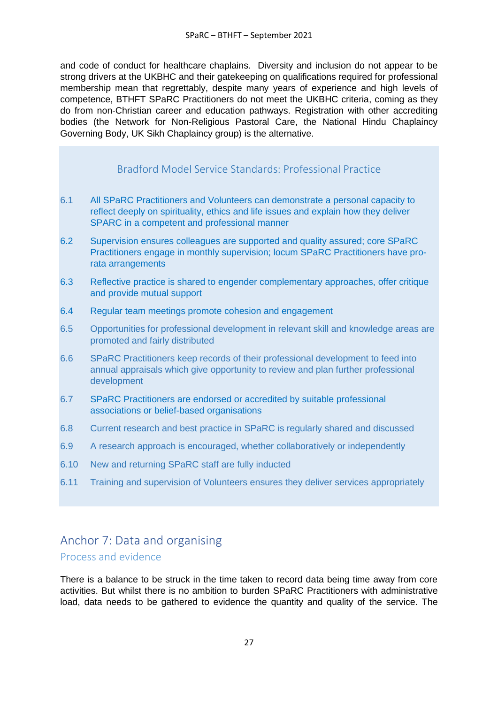and code of conduct for healthcare chaplains. Diversity and inclusion do not appear to be strong drivers at the UKBHC and their gatekeeping on qualifications required for professional membership mean that regrettably, despite many years of experience and high levels of competence, BTHFT SPaRC Practitioners do not meet the UKBHC criteria, coming as they do from non-Christian career and education pathways. Registration with other accrediting bodies (the Network for Non-Religious Pastoral Care, the National Hindu Chaplaincy Governing Body, UK Sikh Chaplaincy group) is the alternative.

### Bradford Model Service Standards: Professional Practice

- <span id="page-26-0"></span>6.1 All SPaRC Practitioners and Volunteers can demonstrate a personal capacity to reflect deeply on spirituality, ethics and life issues and explain how they deliver SPARC in a competent and professional manner
- 6.2 Supervision ensures colleagues are supported and quality assured; core SPaRC Practitioners engage in monthly supervision; locum SPaRC Practitioners have prorata arrangements
- 6.3 Reflective practice is shared to engender complementary approaches, offer critique and provide mutual support
- 6.4 Regular team meetings promote cohesion and engagement
- 6.5 Opportunities for professional development in relevant skill and knowledge areas are promoted and fairly distributed
- 6.6 SPaRC Practitioners keep records of their professional development to feed into annual appraisals which give opportunity to review and plan further professional development
- 6.7 SPaRC Practitioners are endorsed or accredited by suitable professional associations or belief-based organisations
- 6.8 Current research and best practice in SPaRC is regularly shared and discussed
- 6.9 A research approach is encouraged, whether collaboratively or independently
- 6.10 New and returning SPaRC staff are fully inducted
- 6.11 Training and supervision of Volunteers ensures they deliver services appropriately

# <span id="page-26-1"></span>Anchor 7: Data and organising

### Process and evidence

There is a balance to be struck in the time taken to record data being time away from core activities. But whilst there is no ambition to burden SPaRC Practitioners with administrative load, data needs to be gathered to evidence the quantity and quality of the service. The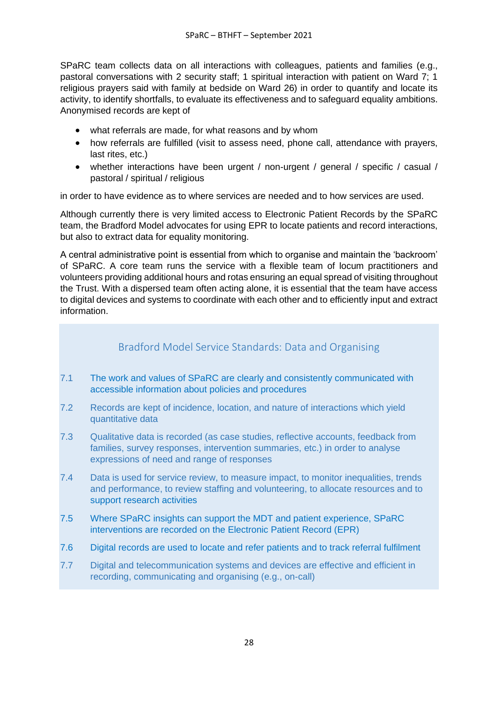SPaRC team collects data on all interactions with colleagues, patients and families (e.g., pastoral conversations with 2 security staff; 1 spiritual interaction with patient on Ward 7; 1 religious prayers said with family at bedside on Ward 26) in order to quantify and locate its activity, to identify shortfalls, to evaluate its effectiveness and to safeguard equality ambitions. Anonymised records are kept of

- what referrals are made, for what reasons and by whom
- how referrals are fulfilled (visit to assess need, phone call, attendance with prayers, last rites, etc.)
- whether interactions have been urgent / non-urgent / general / specific / casual / pastoral / spiritual / religious

in order to have evidence as to where services are needed and to how services are used.

Although currently there is very limited access to Electronic Patient Records by the SPaRC team, the Bradford Model advocates for using EPR to locate patients and record interactions, but also to extract data for equality monitoring.

A central administrative point is essential from which to organise and maintain the 'backroom' of SPaRC. A core team runs the service with a flexible team of locum practitioners and volunteers providing additional hours and rotas ensuring an equal spread of visiting throughout the Trust. With a dispersed team often acting alone, it is essential that the team have access to digital devices and systems to coordinate with each other and to efficiently input and extract information.

### Bradford Model Service Standards: Data and Organising

- <span id="page-27-0"></span>7.1 The work and values of SPaRC are clearly and consistently communicated with accessible information about policies and procedures
- 7.2 Records are kept of incidence, location, and nature of interactions which yield quantitative data
- 7.3 Qualitative data is recorded (as case studies, reflective accounts, feedback from families, survey responses, intervention summaries, etc.) in order to analyse expressions of need and range of responses
- 7.4 Data is used for service review, to measure impact, to monitor inequalities, trends and performance, to review staffing and volunteering, to allocate resources and to support research activities
- 7.5 Where SPaRC insights can support the MDT and patient experience, SPaRC interventions are recorded on the Electronic Patient Record (EPR)
- 7.6 Digital records are used to locate and refer patients and to track referral fulfilment
- 7.7 Digital and telecommunication systems and devices are effective and efficient in recording, communicating and organising (e.g., on-call)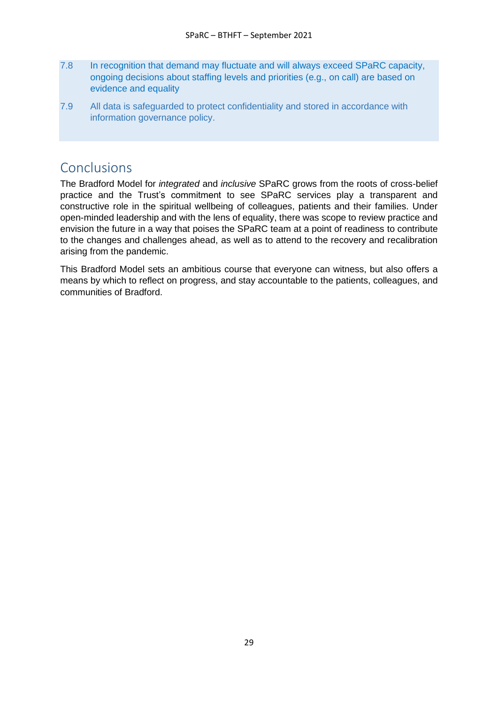- 7.8 In recognition that demand may fluctuate and will always exceed SPaRC capacity, ongoing decisions about staffing levels and priorities (e.g., on call) are based on evidence and equality
- 7.9 All data is safeguarded to protect confidentiality and stored in accordance with information governance policy.

## <span id="page-28-0"></span>Conclusions

The Bradford Model for *integrated* and *inclusive* SPaRC grows from the roots of cross-belief practice and the Trust's commitment to see SPaRC services play a transparent and constructive role in the spiritual wellbeing of colleagues, patients and their families. Under open-minded leadership and with the lens of equality, there was scope to review practice and envision the future in a way that poises the SPaRC team at a point of readiness to contribute to the changes and challenges ahead, as well as to attend to the recovery and recalibration arising from the pandemic.

This Bradford Model sets an ambitious course that everyone can witness, but also offers a means by which to reflect on progress, and stay accountable to the patients, colleagues, and communities of Bradford.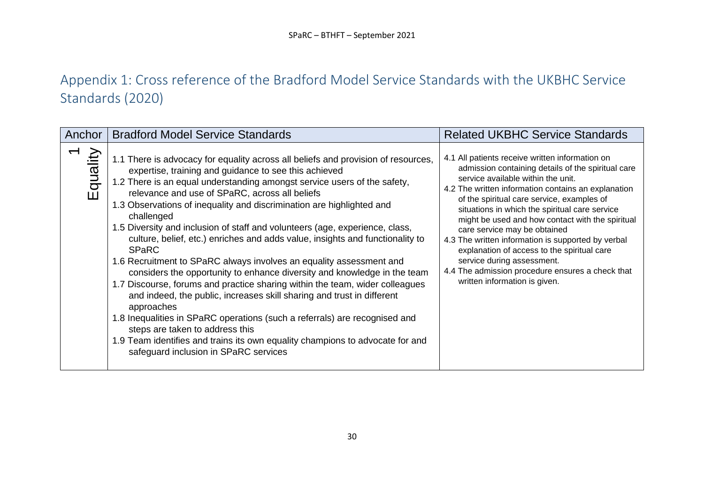# Appendix 1: Cross reference of the Bradford Model Service Standards with the UKBHC Service Standards (2020)

<span id="page-29-0"></span>

| Anchor       | <b>Bradford Model Service Standards</b>                                                                                                                                                                                                                                                                                                                                                                                                                                                                                                                                                                                                                                                                                                                                                                                                                                                                                                                                                                                                                                                                                | <b>Related UKBHC Service Standards</b>                                                                                                                                                                                                                                                                                                                                                                                                                                                                                                                                                                         |
|--------------|------------------------------------------------------------------------------------------------------------------------------------------------------------------------------------------------------------------------------------------------------------------------------------------------------------------------------------------------------------------------------------------------------------------------------------------------------------------------------------------------------------------------------------------------------------------------------------------------------------------------------------------------------------------------------------------------------------------------------------------------------------------------------------------------------------------------------------------------------------------------------------------------------------------------------------------------------------------------------------------------------------------------------------------------------------------------------------------------------------------------|----------------------------------------------------------------------------------------------------------------------------------------------------------------------------------------------------------------------------------------------------------------------------------------------------------------------------------------------------------------------------------------------------------------------------------------------------------------------------------------------------------------------------------------------------------------------------------------------------------------|
| quality<br>ш | 1.1 There is advocacy for equality across all beliefs and provision of resources,<br>expertise, training and guidance to see this achieved<br>1.2 There is an equal understanding amongst service users of the safety,<br>relevance and use of SPaRC, across all beliefs<br>1.3 Observations of inequality and discrimination are highlighted and<br>challenged<br>1.5 Diversity and inclusion of staff and volunteers (age, experience, class,<br>culture, belief, etc.) enriches and adds value, insights and functionality to<br><b>SPaRC</b><br>1.6 Recruitment to SPaRC always involves an equality assessment and<br>considers the opportunity to enhance diversity and knowledge in the team<br>1.7 Discourse, forums and practice sharing within the team, wider colleagues<br>and indeed, the public, increases skill sharing and trust in different<br>approaches<br>1.8 Inequalities in SPaRC operations (such a referrals) are recognised and<br>steps are taken to address this<br>1.9 Team identifies and trains its own equality champions to advocate for and<br>safeguard inclusion in SPaRC services | 4.1 All patients receive written information on<br>admission containing details of the spiritual care<br>service available within the unit.<br>4.2 The written information contains an explanation<br>of the spiritual care service, examples of<br>situations in which the spiritual care service<br>might be used and how contact with the spiritual<br>care service may be obtained<br>4.3 The written information is supported by verbal<br>explanation of access to the spiritual care<br>service during assessment.<br>4.4 The admission procedure ensures a check that<br>written information is given. |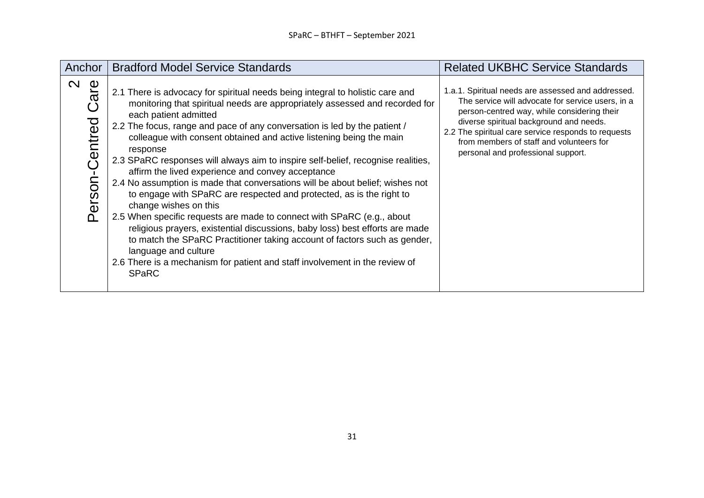| Anchor                                             | <b>Bradford Model Service Standards</b>                                                                                                                                                                                                                                                                                                                                                                                                                                                                                                                                                                                                                                                                                                                                                                                                                                                                                                                                                                                                        | <b>Related UKBHC Service Standards</b>                                                                                                                                                                                                                                                                                                     |
|----------------------------------------------------|------------------------------------------------------------------------------------------------------------------------------------------------------------------------------------------------------------------------------------------------------------------------------------------------------------------------------------------------------------------------------------------------------------------------------------------------------------------------------------------------------------------------------------------------------------------------------------------------------------------------------------------------------------------------------------------------------------------------------------------------------------------------------------------------------------------------------------------------------------------------------------------------------------------------------------------------------------------------------------------------------------------------------------------------|--------------------------------------------------------------------------------------------------------------------------------------------------------------------------------------------------------------------------------------------------------------------------------------------------------------------------------------------|
| $\mathbf{\Omega}$<br>are<br>Centred<br>erson-<br>൧ | 2.1 There is advocacy for spiritual needs being integral to holistic care and<br>monitoring that spiritual needs are appropriately assessed and recorded for<br>each patient admitted<br>2.2 The focus, range and pace of any conversation is led by the patient /<br>colleague with consent obtained and active listening being the main<br>response<br>2.3 SPaRC responses will always aim to inspire self-belief, recognise realities,<br>affirm the lived experience and convey acceptance<br>2.4 No assumption is made that conversations will be about belief; wishes not<br>to engage with SPaRC are respected and protected, as is the right to<br>change wishes on this<br>2.5 When specific requests are made to connect with SPaRC (e.g., about<br>religious prayers, existential discussions, baby loss) best efforts are made<br>to match the SPaRC Practitioner taking account of factors such as gender,<br>language and culture<br>2.6 There is a mechanism for patient and staff involvement in the review of<br><b>SPaRC</b> | 1.a.1. Spiritual needs are assessed and addressed.<br>The service will advocate for service users, in a<br>person-centred way, while considering their<br>diverse spiritual background and needs.<br>2.2 The spiritual care service responds to requests<br>from members of staff and volunteers for<br>personal and professional support. |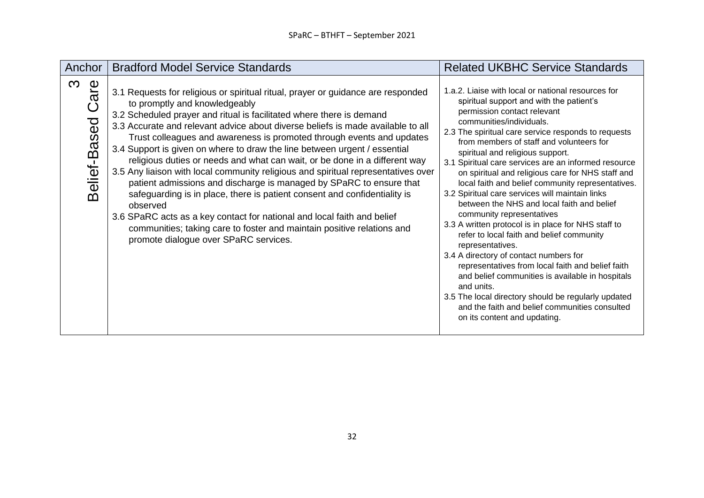| Anchor                          | <b>Bradford Model Service Standards</b>                                                                                                                                                                                                                                                                                                                                                                                                                                                                                                                                                                                                                                                                                                                                                                                                                                                                                                                             | <b>Related UKBHC Service Standards</b>                                                                                                                                                                                                                                                                                                                                                                                                                                                                                                                                                                                                                                                                                                                                                                                                                                                                                                                                                                                             |
|---------------------------------|---------------------------------------------------------------------------------------------------------------------------------------------------------------------------------------------------------------------------------------------------------------------------------------------------------------------------------------------------------------------------------------------------------------------------------------------------------------------------------------------------------------------------------------------------------------------------------------------------------------------------------------------------------------------------------------------------------------------------------------------------------------------------------------------------------------------------------------------------------------------------------------------------------------------------------------------------------------------|------------------------------------------------------------------------------------------------------------------------------------------------------------------------------------------------------------------------------------------------------------------------------------------------------------------------------------------------------------------------------------------------------------------------------------------------------------------------------------------------------------------------------------------------------------------------------------------------------------------------------------------------------------------------------------------------------------------------------------------------------------------------------------------------------------------------------------------------------------------------------------------------------------------------------------------------------------------------------------------------------------------------------------|
| $\infty$<br>are<br>Belief-Based | 3.1 Requests for religious or spiritual ritual, prayer or guidance are responded<br>to promptly and knowledgeably<br>3.2 Scheduled prayer and ritual is facilitated where there is demand<br>3.3 Accurate and relevant advice about diverse beliefs is made available to all<br>Trust colleagues and awareness is promoted through events and updates<br>3.4 Support is given on where to draw the line between urgent / essential<br>religious duties or needs and what can wait, or be done in a different way<br>3.5 Any liaison with local community religious and spiritual representatives over<br>patient admissions and discharge is managed by SPaRC to ensure that<br>safeguarding is in place, there is patient consent and confidentiality is<br>observed<br>3.6 SPaRC acts as a key contact for national and local faith and belief<br>communities; taking care to foster and maintain positive relations and<br>promote dialogue over SPaRC services. | 1.a.2. Liaise with local or national resources for<br>spiritual support and with the patient's<br>permission contact relevant<br>communities/individuals.<br>2.3 The spiritual care service responds to requests<br>from members of staff and volunteers for<br>spiritual and religious support.<br>3.1 Spiritual care services are an informed resource<br>on spiritual and religious care for NHS staff and<br>local faith and belief community representatives.<br>3.2 Spiritual care services will maintain links<br>between the NHS and local faith and belief<br>community representatives<br>3.3 A written protocol is in place for NHS staff to<br>refer to local faith and belief community<br>representatives.<br>3.4 A directory of contact numbers for<br>representatives from local faith and belief faith<br>and belief communities is available in hospitals<br>and units.<br>3.5 The local directory should be regularly updated<br>and the faith and belief communities consulted<br>on its content and updating. |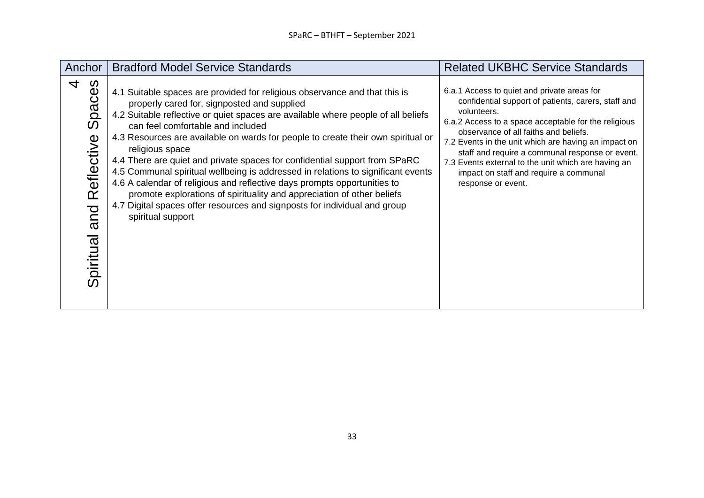| Anchor                                                                                      | <b>Bradford Model Service Standards</b>                                                                                                                                                                                                                                                                                                                                                                                                                                                                                                                                                                                                                                                                                                                                              | <b>Related UKBHC Service Standards</b>                                                                                                                                                                                                                                                                                                                                                                                                               |
|---------------------------------------------------------------------------------------------|--------------------------------------------------------------------------------------------------------------------------------------------------------------------------------------------------------------------------------------------------------------------------------------------------------------------------------------------------------------------------------------------------------------------------------------------------------------------------------------------------------------------------------------------------------------------------------------------------------------------------------------------------------------------------------------------------------------------------------------------------------------------------------------|------------------------------------------------------------------------------------------------------------------------------------------------------------------------------------------------------------------------------------------------------------------------------------------------------------------------------------------------------------------------------------------------------------------------------------------------------|
| 4<br>paces<br>$\boldsymbol{\omega}$<br>eflective<br>$\overline{\alpha}$<br>and<br>Spiritual | 4.1 Suitable spaces are provided for religious observance and that this is<br>properly cared for, signposted and supplied<br>4.2 Suitable reflective or quiet spaces are available where people of all beliefs<br>can feel comfortable and included<br>4.3 Resources are available on wards for people to create their own spiritual or<br>religious space<br>4.4 There are quiet and private spaces for confidential support from SPaRC<br>4.5 Communal spiritual wellbeing is addressed in relations to significant events<br>4.6 A calendar of religious and reflective days prompts opportunities to<br>promote explorations of spirituality and appreciation of other beliefs<br>4.7 Digital spaces offer resources and signposts for individual and group<br>spiritual support | 6.a.1 Access to quiet and private areas for<br>confidential support of patients, carers, staff and<br>volunteers.<br>6.a.2 Access to a space acceptable for the religious<br>observance of all faiths and beliefs.<br>7.2 Events in the unit which are having an impact on<br>staff and require a communal response or event.<br>7.3 Events external to the unit which are having an<br>impact on staff and require a communal<br>response or event. |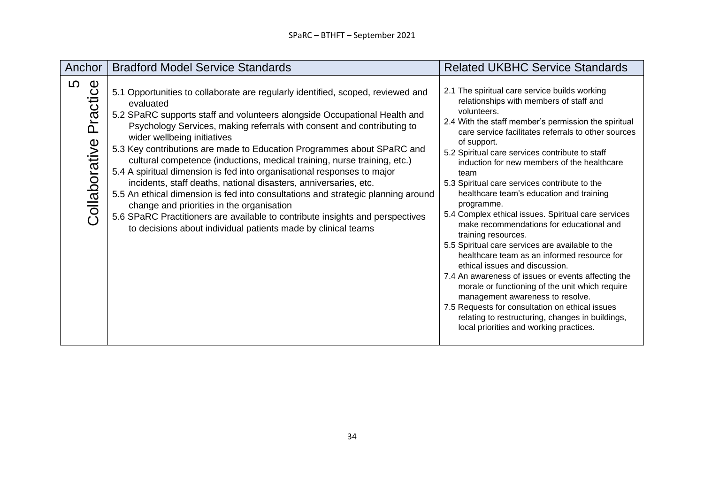| Anchor                         | <b>Bradford Model Service Standards</b>                                                                                                                                                                                                                                                                                                                                                                                                                                                                                                                                                                                                                                                                                                                                                                                                                                    | <b>Related UKBHC Service Standards</b>                                                                                                                                                                                                                                                                                                                                                                                                                                                                                                                                                                                                                                                                                                                                                                                                                                                                                                                                                                                   |
|--------------------------------|----------------------------------------------------------------------------------------------------------------------------------------------------------------------------------------------------------------------------------------------------------------------------------------------------------------------------------------------------------------------------------------------------------------------------------------------------------------------------------------------------------------------------------------------------------------------------------------------------------------------------------------------------------------------------------------------------------------------------------------------------------------------------------------------------------------------------------------------------------------------------|--------------------------------------------------------------------------------------------------------------------------------------------------------------------------------------------------------------------------------------------------------------------------------------------------------------------------------------------------------------------------------------------------------------------------------------------------------------------------------------------------------------------------------------------------------------------------------------------------------------------------------------------------------------------------------------------------------------------------------------------------------------------------------------------------------------------------------------------------------------------------------------------------------------------------------------------------------------------------------------------------------------------------|
| 5<br>Practice<br>Collaborative | 5.1 Opportunities to collaborate are regularly identified, scoped, reviewed and<br>evaluated<br>5.2 SPaRC supports staff and volunteers alongside Occupational Health and<br>Psychology Services, making referrals with consent and contributing to<br>wider wellbeing initiatives<br>5.3 Key contributions are made to Education Programmes about SPaRC and<br>cultural competence (inductions, medical training, nurse training, etc.)<br>5.4 A spiritual dimension is fed into organisational responses to major<br>incidents, staff deaths, national disasters, anniversaries, etc.<br>5.5 An ethical dimension is fed into consultations and strategic planning around<br>change and priorities in the organisation<br>5.6 SPaRC Practitioners are available to contribute insights and perspectives<br>to decisions about individual patients made by clinical teams | 2.1 The spiritual care service builds working<br>relationships with members of staff and<br>volunteers.<br>2.4 With the staff member's permission the spiritual<br>care service facilitates referrals to other sources<br>of support.<br>5.2 Spiritual care services contribute to staff<br>induction for new members of the healthcare<br>team<br>5.3 Spiritual care services contribute to the<br>healthcare team's education and training<br>programme.<br>5.4 Complex ethical issues. Spiritual care services<br>make recommendations for educational and<br>training resources.<br>5.5 Spiritual care services are available to the<br>healthcare team as an informed resource for<br>ethical issues and discussion.<br>7.4 An awareness of issues or events affecting the<br>morale or functioning of the unit which require<br>management awareness to resolve.<br>7.5 Requests for consultation on ethical issues<br>relating to restructuring, changes in buildings,<br>local priorities and working practices. |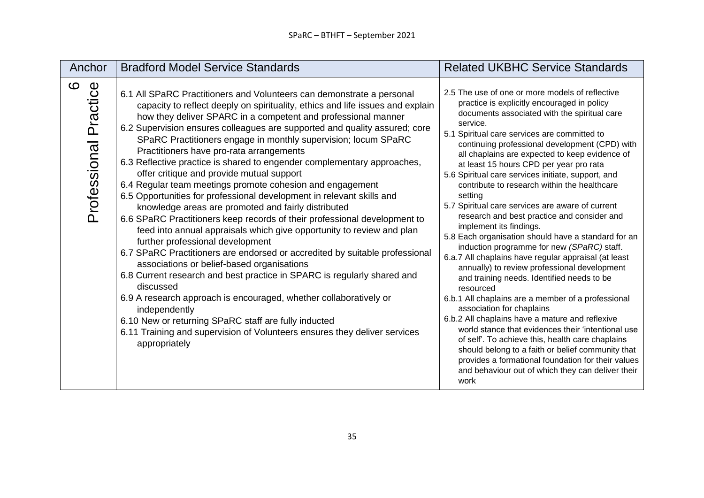| Anchor                        | <b>Bradford Model Service Standards</b>                                                                                                                                                                                                                                                                                                                                                                                                                                                                                                                                                                                                                                                                                                                                                                                                                                                                                                                                                                                                                                                                                                                                                                                                                                                                                                                                                              | <b>Related UKBHC Service Standards</b>                                                                                                                                                                                                                                                                                                                                                                                                                                                                                                                                                                                                                                                                                                                                                                                                                                                                                                                                                                                                                                                                                                                                                                                                                                                                   |
|-------------------------------|------------------------------------------------------------------------------------------------------------------------------------------------------------------------------------------------------------------------------------------------------------------------------------------------------------------------------------------------------------------------------------------------------------------------------------------------------------------------------------------------------------------------------------------------------------------------------------------------------------------------------------------------------------------------------------------------------------------------------------------------------------------------------------------------------------------------------------------------------------------------------------------------------------------------------------------------------------------------------------------------------------------------------------------------------------------------------------------------------------------------------------------------------------------------------------------------------------------------------------------------------------------------------------------------------------------------------------------------------------------------------------------------------|----------------------------------------------------------------------------------------------------------------------------------------------------------------------------------------------------------------------------------------------------------------------------------------------------------------------------------------------------------------------------------------------------------------------------------------------------------------------------------------------------------------------------------------------------------------------------------------------------------------------------------------------------------------------------------------------------------------------------------------------------------------------------------------------------------------------------------------------------------------------------------------------------------------------------------------------------------------------------------------------------------------------------------------------------------------------------------------------------------------------------------------------------------------------------------------------------------------------------------------------------------------------------------------------------------|
| ဖ<br>Practice<br>Professional | 6.1 All SPaRC Practitioners and Volunteers can demonstrate a personal<br>capacity to reflect deeply on spirituality, ethics and life issues and explain<br>how they deliver SPARC in a competent and professional manner<br>6.2 Supervision ensures colleagues are supported and quality assured; core<br>SPaRC Practitioners engage in monthly supervision; locum SPaRC<br>Practitioners have pro-rata arrangements<br>6.3 Reflective practice is shared to engender complementary approaches,<br>offer critique and provide mutual support<br>6.4 Regular team meetings promote cohesion and engagement<br>6.5 Opportunities for professional development in relevant skills and<br>knowledge areas are promoted and fairly distributed<br>6.6 SPaRC Practitioners keep records of their professional development to<br>feed into annual appraisals which give opportunity to review and plan<br>further professional development<br>6.7 SPaRC Practitioners are endorsed or accredited by suitable professional<br>associations or belief-based organisations<br>6.8 Current research and best practice in SPARC is regularly shared and<br>discussed<br>6.9 A research approach is encouraged, whether collaboratively or<br>independently<br>6.10 New or returning SPaRC staff are fully inducted<br>6.11 Training and supervision of Volunteers ensures they deliver services<br>appropriately | 2.5 The use of one or more models of reflective<br>practice is explicitly encouraged in policy<br>documents associated with the spiritual care<br>service.<br>5.1 Spiritual care services are committed to<br>continuing professional development (CPD) with<br>all chaplains are expected to keep evidence of<br>at least 15 hours CPD per year pro rata<br>5.6 Spiritual care services initiate, support, and<br>contribute to research within the healthcare<br>setting<br>5.7 Spiritual care services are aware of current<br>research and best practice and consider and<br>implement its findings.<br>5.8 Each organisation should have a standard for an<br>induction programme for new (SPaRC) staff.<br>6.a.7 All chaplains have regular appraisal (at least<br>annually) to review professional development<br>and training needs. Identified needs to be<br>resourced<br>6.b.1 All chaplains are a member of a professional<br>association for chaplains<br>6.b.2 All chaplains have a mature and reflexive<br>world stance that evidences their 'intentional use<br>of self'. To achieve this, health care chaplains<br>should belong to a faith or belief community that<br>provides a formational foundation for their values<br>and behaviour out of which they can deliver their<br>work |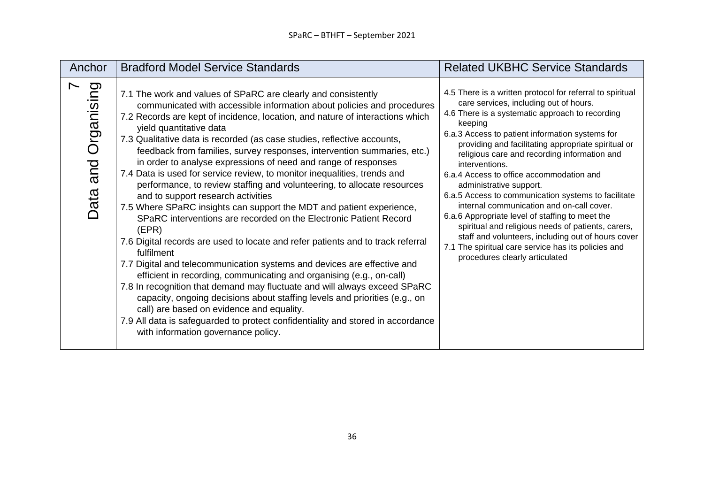| Anchor                      | <b>Bradford Model Service Standards</b>                                                                                                                                                                                                                                                                                                                                                                                                                                                                                                                                                                                                                                                                                                                                                                                                                                                                                                                                                                                                                                                                                                                                                                                                                                                                                                                                                                              | <b>Related UKBHC Service Standards</b>                                                                                                                                                                                                                                                                                                                                                                                                                                                                                                                                                                                                                                                                                                                                           |
|-----------------------------|----------------------------------------------------------------------------------------------------------------------------------------------------------------------------------------------------------------------------------------------------------------------------------------------------------------------------------------------------------------------------------------------------------------------------------------------------------------------------------------------------------------------------------------------------------------------------------------------------------------------------------------------------------------------------------------------------------------------------------------------------------------------------------------------------------------------------------------------------------------------------------------------------------------------------------------------------------------------------------------------------------------------------------------------------------------------------------------------------------------------------------------------------------------------------------------------------------------------------------------------------------------------------------------------------------------------------------------------------------------------------------------------------------------------|----------------------------------------------------------------------------------------------------------------------------------------------------------------------------------------------------------------------------------------------------------------------------------------------------------------------------------------------------------------------------------------------------------------------------------------------------------------------------------------------------------------------------------------------------------------------------------------------------------------------------------------------------------------------------------------------------------------------------------------------------------------------------------|
| puisinspro<br>T<br>Data and | 7.1 The work and values of SPaRC are clearly and consistently<br>communicated with accessible information about policies and procedures<br>7.2 Records are kept of incidence, location, and nature of interactions which<br>yield quantitative data<br>7.3 Qualitative data is recorded (as case studies, reflective accounts,<br>feedback from families, survey responses, intervention summaries, etc.)<br>in order to analyse expressions of need and range of responses<br>7.4 Data is used for service review, to monitor inequalities, trends and<br>performance, to review staffing and volunteering, to allocate resources<br>and to support research activities<br>7.5 Where SPaRC insights can support the MDT and patient experience,<br>SPaRC interventions are recorded on the Electronic Patient Record<br>(EPR)<br>7.6 Digital records are used to locate and refer patients and to track referral<br>fulfilment<br>7.7 Digital and telecommunication systems and devices are effective and<br>efficient in recording, communicating and organising (e.g., on-call)<br>7.8 In recognition that demand may fluctuate and will always exceed SPaRC<br>capacity, ongoing decisions about staffing levels and priorities (e.g., on<br>call) are based on evidence and equality.<br>7.9 All data is safeguarded to protect confidentiality and stored in accordance<br>with information governance policy. | 4.5 There is a written protocol for referral to spiritual<br>care services, including out of hours.<br>4.6 There is a systematic approach to recording<br>keeping<br>6.a.3 Access to patient information systems for<br>providing and facilitating appropriate spiritual or<br>religious care and recording information and<br>interventions.<br>6.a.4 Access to office accommodation and<br>administrative support.<br>6.a.5 Access to communication systems to facilitate<br>internal communication and on-call cover.<br>6.a.6 Appropriate level of staffing to meet the<br>spiritual and religious needs of patients, carers,<br>staff and volunteers, including out of hours cover<br>7.1 The spiritual care service has its policies and<br>procedures clearly articulated |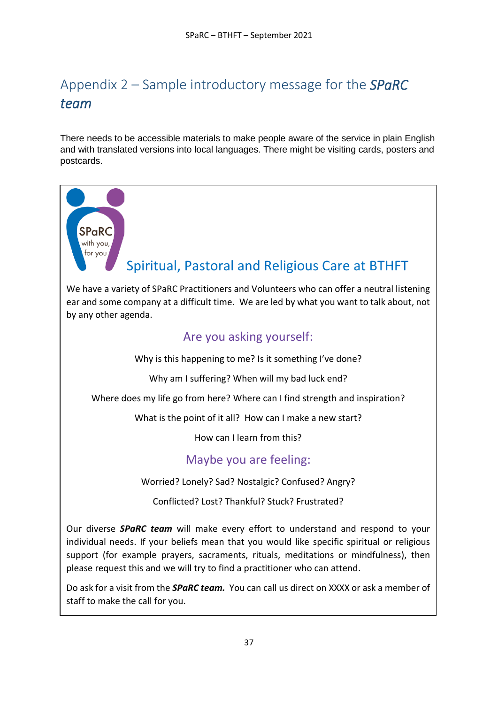# <span id="page-36-0"></span>Appendix 2 – Sample introductory message for the *SPaRC team*

There needs to be accessible materials to make people aware of the service in plain English and with translated versions into local languages. There might be visiting cards, posters and postcards.

<span id="page-36-1"></span>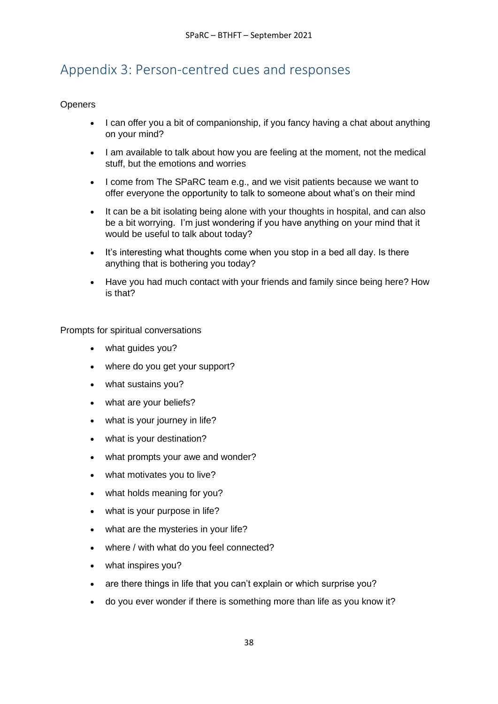## Appendix 3: Person-centred cues and responses

#### **Openers**

- I can offer you a bit of companionship, if you fancy having a chat about anything on your mind?
- I am available to talk about how you are feeling at the moment, not the medical stuff, but the emotions and worries
- I come from The SPaRC team e.g., and we visit patients because we want to offer everyone the opportunity to talk to someone about what's on their mind
- It can be a bit isolating being alone with your thoughts in hospital, and can also be a bit worrying. I'm just wondering if you have anything on your mind that it would be useful to talk about today?
- It's interesting what thoughts come when you stop in a bed all day. Is there anything that is bothering you today?
- Have you had much contact with your friends and family since being here? How is that?

Prompts for spiritual conversations

- what guides you?
- where do you get your support?
- what sustains you?
- what are your beliefs?
- what is your journey in life?
- what is your destination?
- what prompts your awe and wonder?
- what motivates you to live?
- what holds meaning for you?
- what is your purpose in life?
- what are the mysteries in your life?
- where / with what do you feel connected?
- what inspires you?
- are there things in life that you can't explain or which surprise you?
- do you ever wonder if there is something more than life as you know it?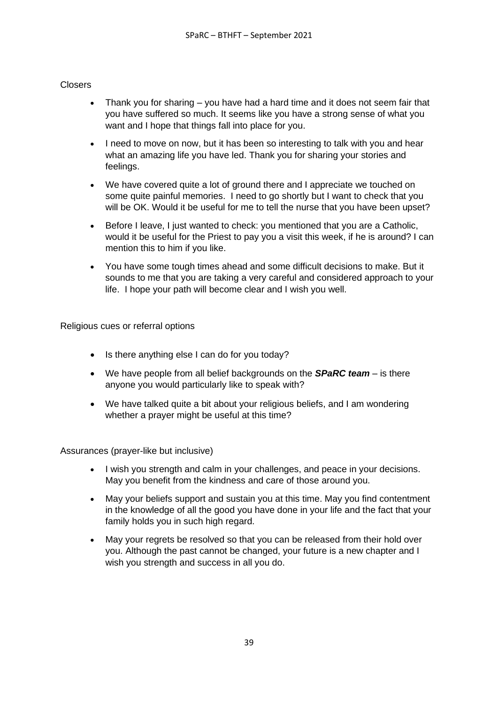#### **Closers**

- Thank you for sharing you have had a hard time and it does not seem fair that you have suffered so much. It seems like you have a strong sense of what you want and I hope that things fall into place for you.
- I need to move on now, but it has been so interesting to talk with you and hear what an amazing life you have led. Thank you for sharing your stories and feelings.
- We have covered quite a lot of ground there and I appreciate we touched on some quite painful memories. I need to go shortly but I want to check that you will be OK. Would it be useful for me to tell the nurse that you have been upset?
- Before I leave, I just wanted to check: you mentioned that you are a Catholic, would it be useful for the Priest to pay you a visit this week, if he is around? I can mention this to him if you like.
- You have some tough times ahead and some difficult decisions to make. But it sounds to me that you are taking a very careful and considered approach to your life. I hope your path will become clear and I wish you well.

Religious cues or referral options

- Is there anything else I can do for you today?
- We have people from all belief backgrounds on the *SPaRC team* is there anyone you would particularly like to speak with?
- We have talked quite a bit about your religious beliefs, and I am wondering whether a prayer might be useful at this time?

Assurances (prayer-like but inclusive)

- I wish you strength and calm in your challenges, and peace in your decisions. May you benefit from the kindness and care of those around you.
- May your beliefs support and sustain you at this time. May you find contentment in the knowledge of all the good you have done in your life and the fact that your family holds you in such high regard.
- May your regrets be resolved so that you can be released from their hold over you. Although the past cannot be changed, your future is a new chapter and I wish you strength and success in all you do.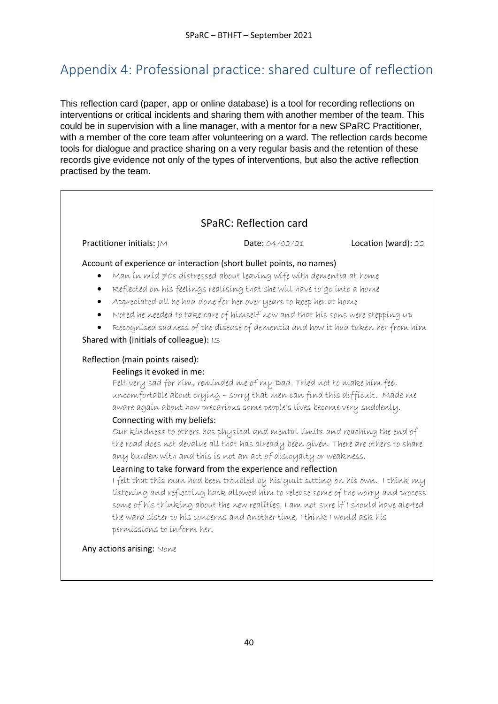# <span id="page-39-0"></span>Appendix 4: Professional practice: shared culture of reflection

This reflection card (paper, app or online database) is a tool for recording reflections on interventions or critical incidents and sharing them with another member of the team. This could be in supervision with a line manager, with a mentor for a new SPaRC Practitioner, with a member of the core team after volunteering on a ward. The reflection cards become tools for dialogue and practice sharing on a very regular basis and the retention of these records give evidence not only of the types of interventions, but also the active reflection practised by the team.

### SPaRC: Reflection card

Practitioner initials: JM Date: 04/02/21 Location (ward): 22

#### Account of experience or interaction (short bullet points, no names)

- $\sim$  Man in mid 70s distressed about leaving wife with dementia at home
- Reflected on his feelings realising that she will have to go into a home
- Appreciated all he had done for her over years to keep her at home
- Noted he needed to take care of himself now and that his sons were stepping up
- Recognised sadness of the disease of dementia and how it had taken her from him Shared with (initials of colleague): IS

#### Reflection (main points raised):

#### Feelings it evoked in me:

Felt very sad for him, reminded me of my Dad. Tried not to make him feel uncomfortable about crying – sorry that men can find this difficult. Made me aware again about how precarious some people's lives become very suddenly.

#### Connecting with my beliefs:

Our kindness to others has physical and mental limits and reaching the end of the road does not devalue all that has already been given. There are others to share any burden with and this is not an act of disloyalty or weakness.

### Learning to take forward from the experience and reflection

I felt that this man had been troubled by his guilt sitting on his own. I think my listening and reflecting back allowed him to release some of the worry and process some of his thinking about the new realities. I am not sure if I should have alerted the ward sister to his concerns and another time, I think I would ask his permissions to inform her.

#### Any actions arising: Nove